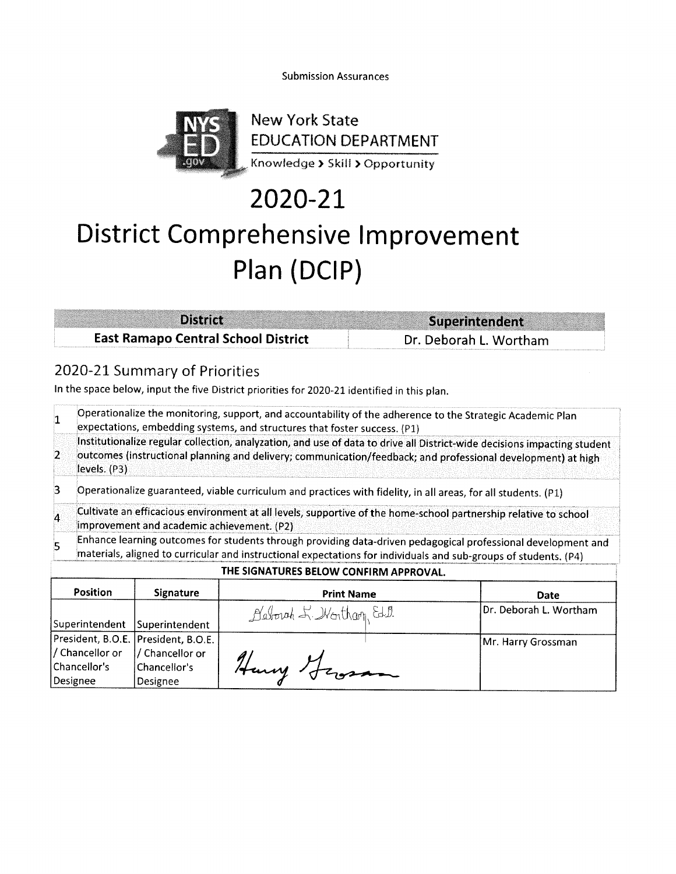**Submission Assurances** 



## 2020-21

## District Comprehensive Improvement Plan (DCIP)

| <b>District</b>                            | Superintendent         |
|--------------------------------------------|------------------------|
| <b>East Ramapo Central School District</b> | Dr. Deborah L. Wortham |

### 2020-21 Summary of Priorities

/ Chancellor or

Chancellor's

Designee

/ Chancellor or

Chancellor's

Designee

In the space below, input the five District priorities for 2020-21 identified in this plan.

|                | Operationalize the monitoring, support, and accountability of the adherence to the Strategic Academic Plan<br>expectations, embedding systems, and structures that foster success. (P1)                                                                  |                                       |                                        |                        |
|----------------|----------------------------------------------------------------------------------------------------------------------------------------------------------------------------------------------------------------------------------------------------------|---------------------------------------|----------------------------------------|------------------------|
| $\overline{2}$ | Institutionalize regular collection, analyzation, and use of data to drive all District-wide decisions impacting student<br>outcomes (instructional planning and delivery; communication/feedback; and professional development) at high<br>levels. (P3) |                                       |                                        |                        |
| 3              | Operationalize guaranteed, viable curriculum and practices with fidelity, in all areas, for all students. (P1)                                                                                                                                           |                                       |                                        |                        |
| $\overline{4}$ | Cultivate an efficacious environment at all levels, supportive of the home-school partnership relative to school<br>improvement and academic achievement. (P2)                                                                                           |                                       |                                        |                        |
| 5              | Enhance learning outcomes for students through providing data-driven pedagogical professional development and<br>materials, aligned to curricular and instructional expectations for individuals and sub-groups of students. (P4)                        |                                       |                                        |                        |
|                |                                                                                                                                                                                                                                                          |                                       | THE SIGNATURES BELOW CONFIRM APPROVAL. |                        |
|                | <b>Position</b>                                                                                                                                                                                                                                          | <b>Signature</b>                      | <b>Print Name</b>                      | Date                   |
|                | Superintendent                                                                                                                                                                                                                                           | Superintendent                        | Nevoust & Wortham, Ed.D.               | Dr. Deborah L. Wortham |
|                |                                                                                                                                                                                                                                                          | President, B.O.E.   President, B.O.E. |                                        | Mr. Harry Grossman     |

Harry German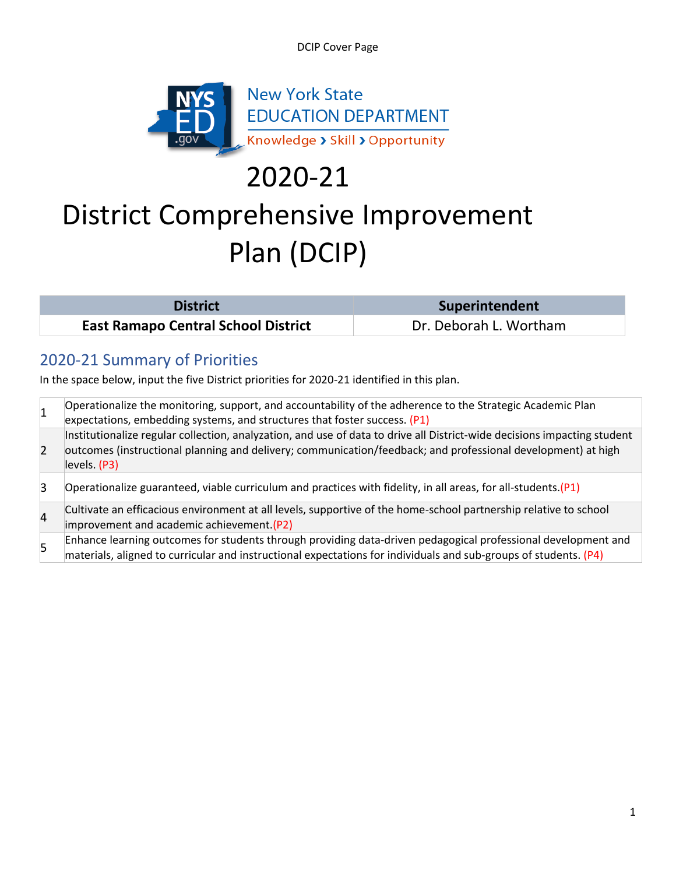DCIP Cover Page



# 2020-21

## District Comprehensive Improvement Plan (DCIP)

| <b>District</b>                            | <b>Superintendent</b>  |
|--------------------------------------------|------------------------|
| <b>East Ramapo Central School District</b> | Dr. Deborah L. Wortham |

## 2020-21 Summary of Priorities

In the space below, input the five District priorities for 2020-21 identified in this plan.

| 1                       | Operationalize the monitoring, support, and accountability of the adherence to the Strategic Academic Plan<br>expectations, embedding systems, and structures that foster success. (P1)                                                                  |
|-------------------------|----------------------------------------------------------------------------------------------------------------------------------------------------------------------------------------------------------------------------------------------------------|
| $\overline{2}$          | Institutionalize regular collection, analyzation, and use of data to drive all District-wide decisions impacting student<br>outcomes (instructional planning and delivery; communication/feedback; and professional development) at high<br>levels. (P3) |
| $\overline{3}$          | Operationalize guaranteed, viable curriculum and practices with fidelity, in all areas, for all-students. (P1)                                                                                                                                           |
| $\overline{\mathbf{4}}$ | Cultivate an efficacious environment at all levels, supportive of the home-school partnership relative to school<br>improvement and academic achievement (P2)                                                                                            |
| 5                       | Enhance learning outcomes for students through providing data-driven pedagogical professional development and<br>materials, aligned to curricular and instructional expectations for individuals and sub-groups of students. (P4)                        |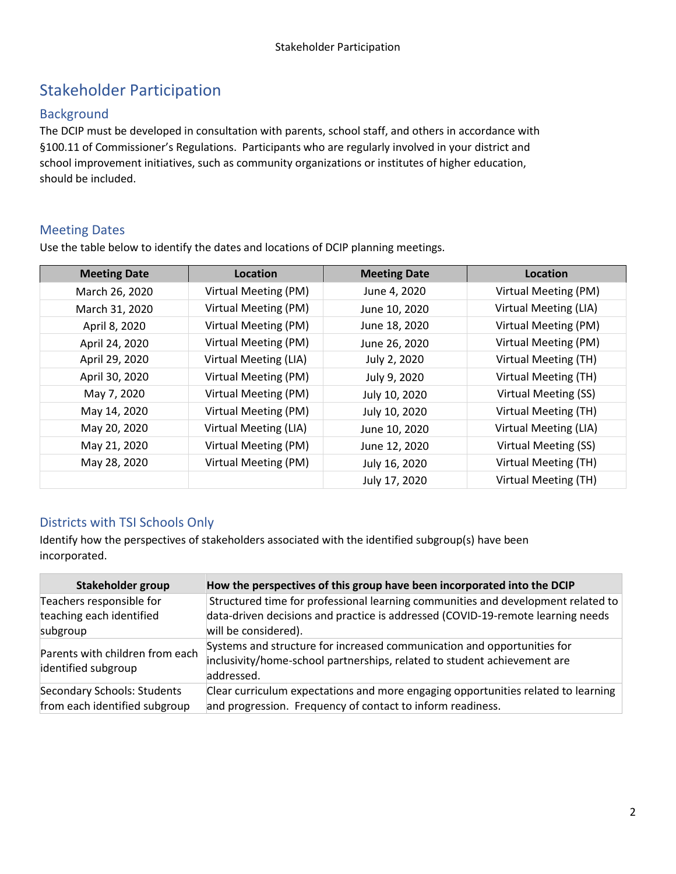## Stakeholder Participation

#### Background

The DCIP must be developed in consultation with parents, school staff, and others in accordance with §100.11 of Commissioner's Regulations. Participants who are regularly involved in your district and school improvement initiatives, such as community organizations or institutes of higher education, should be included.

#### Meeting Dates

Use the table below to identify the dates and locations of DCIP planning meetings.

| <b>Meeting Date</b> | Location              | <b>Meeting Date</b> | Location              |
|---------------------|-----------------------|---------------------|-----------------------|
| March 26, 2020      | Virtual Meeting (PM)  | June 4, 2020        | Virtual Meeting (PM)  |
| March 31, 2020      | Virtual Meeting (PM)  | June 10, 2020       | Virtual Meeting (LIA) |
| April 8, 2020       | Virtual Meeting (PM)  | June 18, 2020       | Virtual Meeting (PM)  |
| April 24, 2020      | Virtual Meeting (PM)  | June 26, 2020       | Virtual Meeting (PM)  |
| April 29, 2020      | Virtual Meeting (LIA) | July 2, 2020        | Virtual Meeting (TH)  |
| April 30, 2020      | Virtual Meeting (PM)  | July 9, 2020        | Virtual Meeting (TH)  |
| May 7, 2020         | Virtual Meeting (PM)  | July 10, 2020       | Virtual Meeting (SS)  |
| May 14, 2020        | Virtual Meeting (PM)  | July 10, 2020       | Virtual Meeting (TH)  |
| May 20, 2020        | Virtual Meeting (LIA) | June 10, 2020       | Virtual Meeting (LIA) |
| May 21, 2020        | Virtual Meeting (PM)  | June 12, 2020       | Virtual Meeting (SS)  |
| May 28, 2020        | Virtual Meeting (PM)  | July 16, 2020       | Virtual Meeting (TH)  |
|                     |                       | July 17, 2020       | Virtual Meeting (TH)  |

#### Districts with TSI Schools Only

Identify how the perspectives of stakeholders associated with the identified subgroup(s) have been incorporated.

| Stakeholder group                                      | How the perspectives of this group have been incorporated into the DCIP                                                                                           |
|--------------------------------------------------------|-------------------------------------------------------------------------------------------------------------------------------------------------------------------|
| Teachers responsible for                               | Structured time for professional learning communities and development related to                                                                                  |
| teaching each identified                               | data-driven decisions and practice is addressed (COVID-19-remote learning needs                                                                                   |
| subgroup                                               | will be considered).                                                                                                                                              |
| Parents with children from each<br>identified subgroup | Systems and structure for increased communication and opportunities for<br>inclusivity/home-school partnerships, related to student achievement are<br>addressed. |
| Secondary Schools: Students                            | Clear curriculum expectations and more engaging opportunities related to learning                                                                                 |
| from each identified subgroup                          | and progression. Frequency of contact to inform readiness.                                                                                                        |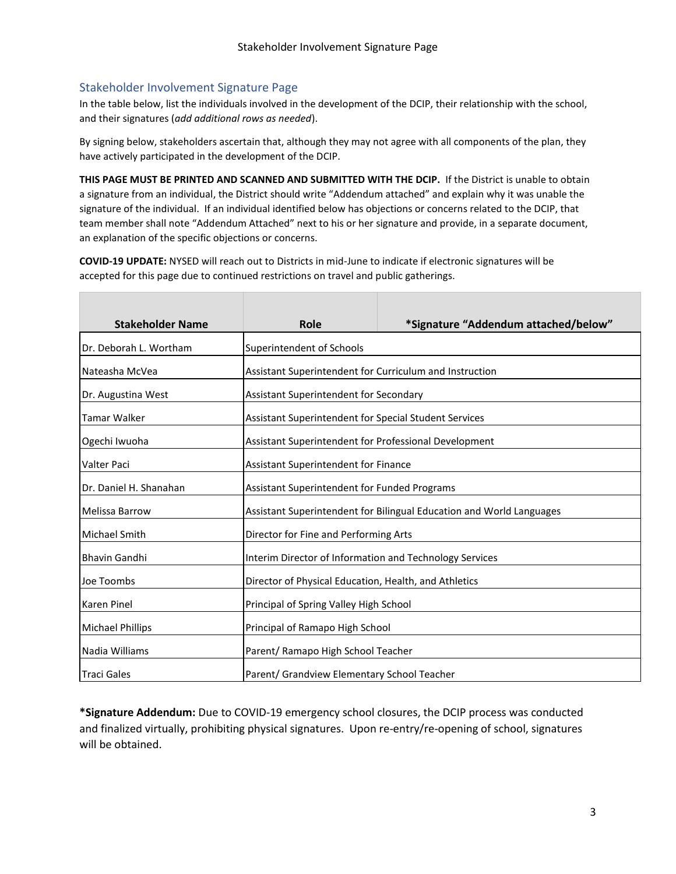#### Stakeholder Involvement Signature Page

In the table below, list the individuals involved in the development of the DCIP, their relationship with the school, and their signatures (*add additional rows as needed*).

By signing below, stakeholders ascertain that, although they may not agree with all components of the plan, they have actively participated in the development of the DCIP.

**THIS PAGE MUST BE PRINTED AND SCANNED AND SUBMITTED WITH THE DCIP.** If the District is unable to obtain a signature from an individual, the District should write "Addendum attached" and explain why it was unable the signature of the individual. If an individual identified below has objections or concerns related to the DCIP, that team member shall note "Addendum Attached" next to his or her signature and provide, in a separate document, an explanation of the specific objections or concerns.

**COVID-19 UPDATE:** NYSED will reach out to Districts in mid-June to indicate if electronic signatures will be accepted for this page due to continued restrictions on travel and public gatherings.

| <b>Stakeholder Name</b> | Role                                                                 | *Signature "Addendum attached/below" |
|-------------------------|----------------------------------------------------------------------|--------------------------------------|
| Dr. Deborah L. Wortham  | Superintendent of Schools                                            |                                      |
| Nateasha McVea          | Assistant Superintendent for Curriculum and Instruction              |                                      |
| Dr. Augustina West      | Assistant Superintendent for Secondary                               |                                      |
| <b>Tamar Walker</b>     | Assistant Superintendent for Special Student Services                |                                      |
| Ogechi Iwuoha           | Assistant Superintendent for Professional Development                |                                      |
| Valter Paci             | Assistant Superintendent for Finance                                 |                                      |
| Dr. Daniel H. Shanahan  | Assistant Superintendent for Funded Programs                         |                                      |
| <b>Melissa Barrow</b>   | Assistant Superintendent for Bilingual Education and World Languages |                                      |
| <b>Michael Smith</b>    | Director for Fine and Performing Arts                                |                                      |
| <b>Bhavin Gandhi</b>    | Interim Director of Information and Technology Services              |                                      |
| Joe Toombs              | Director of Physical Education, Health, and Athletics                |                                      |
| <b>Karen Pinel</b>      | Principal of Spring Valley High School                               |                                      |
| <b>Michael Phillips</b> | Principal of Ramapo High School                                      |                                      |
| Nadia Williams          | Parent/ Ramapo High School Teacher                                   |                                      |
| <b>Traci Gales</b>      | Parent/ Grandview Elementary School Teacher                          |                                      |

**\*Signature Addendum:** Due to COVID-19 emergency school closures, the DCIP process was conducted and finalized virtually, prohibiting physical signatures. Upon re-entry/re-opening of school, signatures will be obtained.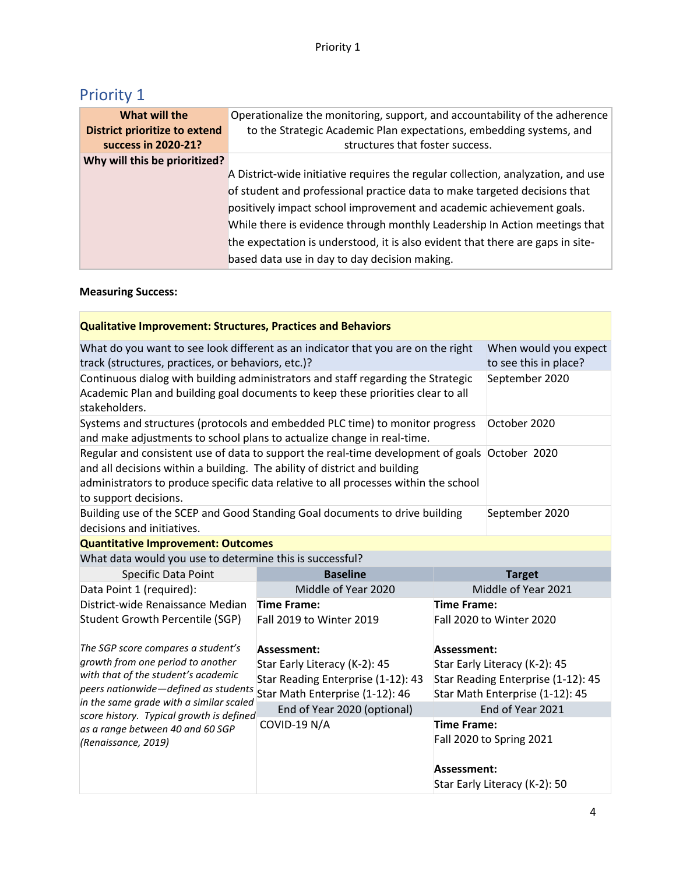|  | <b>Priority 1</b> |  |
|--|-------------------|--|
|  |                   |  |

| What will the                        | Operationalize the monitoring, support, and accountability of the adherence      |
|--------------------------------------|----------------------------------------------------------------------------------|
| <b>District prioritize to extend</b> | to the Strategic Academic Plan expectations, embedding systems, and              |
| success in 2020-21?                  | structures that foster success.                                                  |
| Why will this be prioritized?        |                                                                                  |
|                                      | A District-wide initiative requires the regular collection, analyzation, and use |
|                                      | of student and professional practice data to make targeted decisions that        |
|                                      | positively impact school improvement and academic achievement goals.             |
|                                      | While there is evidence through monthly Leadership In Action meetings that       |
|                                      | the expectation is understood, it is also evident that there are gaps in site-   |
|                                      | based data use in day to day decision making.                                    |

#### **Measuring Success:**

| <b>Qualitative Improvement: Structures, Practices and Behaviors</b>                                                                                                                  |                                                                                                                                                                                                                                                                   |                                                                       |                               |  |
|--------------------------------------------------------------------------------------------------------------------------------------------------------------------------------------|-------------------------------------------------------------------------------------------------------------------------------------------------------------------------------------------------------------------------------------------------------------------|-----------------------------------------------------------------------|-------------------------------|--|
| What do you want to see look different as an indicator that you are on the right<br>track (structures, practices, or behaviors, etc.)?                                               | When would you expect<br>to see this in place?                                                                                                                                                                                                                    |                                                                       |                               |  |
| Continuous dialog with building administrators and staff regarding the Strategic<br>Academic Plan and building goal documents to keep these priorities clear to all<br>stakeholders. |                                                                                                                                                                                                                                                                   |                                                                       | September 2020                |  |
| Systems and structures (protocols and embedded PLC time) to monitor progress<br>and make adjustments to school plans to actualize change in real-time.                               |                                                                                                                                                                                                                                                                   |                                                                       | October 2020                  |  |
| to support decisions.                                                                                                                                                                | Regular and consistent use of data to support the real-time development of goals October 2020<br>and all decisions within a building. The ability of district and building<br>administrators to produce specific data relative to all processes within the school |                                                                       |                               |  |
| Building use of the SCEP and Good Standing Goal documents to drive building<br>September 2020<br>decisions and initiatives.                                                          |                                                                                                                                                                                                                                                                   |                                                                       |                               |  |
| <b>Quantitative Improvement: Outcomes</b>                                                                                                                                            |                                                                                                                                                                                                                                                                   |                                                                       |                               |  |
| What data would you use to determine this is successful?                                                                                                                             |                                                                                                                                                                                                                                                                   |                                                                       |                               |  |
| <b>Specific Data Point</b>                                                                                                                                                           | <b>Baseline</b>                                                                                                                                                                                                                                                   |                                                                       | <b>Target</b>                 |  |
| Data Point 1 (required):                                                                                                                                                             | Middle of Year 2020                                                                                                                                                                                                                                               |                                                                       | Middle of Year 2021           |  |
| District-wide Renaissance Median                                                                                                                                                     | Time Frame:                                                                                                                                                                                                                                                       | Time Frame:                                                           |                               |  |
| <b>Student Growth Percentile (SGP)</b>                                                                                                                                               | Fall 2019 to Winter 2019                                                                                                                                                                                                                                          |                                                                       | Fall 2020 to Winter 2020      |  |
| The SGP score compares a student's                                                                                                                                                   | Assessment:                                                                                                                                                                                                                                                       | Assessment:                                                           |                               |  |
| growth from one period to another                                                                                                                                                    | Star Early Literacy (K-2): 45                                                                                                                                                                                                                                     | Star Early Literacy (K-2): 45                                         |                               |  |
| with that of the student's academic<br>peers nationwide-defined as students                                                                                                          | Star Reading Enterprise (1-12): 43<br>Star Math Enterprise (1-12): 46                                                                                                                                                                                             | Star Reading Enterprise (1-12): 45<br>Star Math Enterprise (1-12): 45 |                               |  |
| in the same grade with a similar scaled<br>score history. Typical growth is defined                                                                                                  | End of Year 2020 (optional)                                                                                                                                                                                                                                       |                                                                       | End of Year 2021              |  |
| as a range between 40 and 60 SGP<br>(Renaissance, 2019)                                                                                                                              | COVID-19 N/A                                                                                                                                                                                                                                                      | Time Frame:<br>Assessment:                                            | Fall 2020 to Spring 2021      |  |
|                                                                                                                                                                                      |                                                                                                                                                                                                                                                                   |                                                                       | Star Early Literacy (K-2): 50 |  |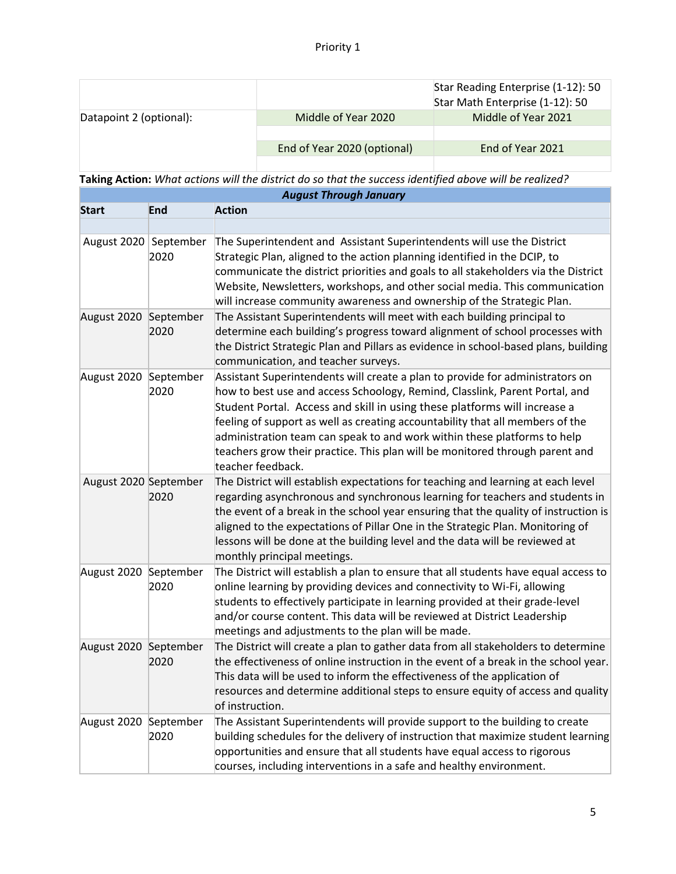|                         |                             | Star Reading Enterprise (1-12): 50<br>Star Math Enterprise (1-12): 50 |
|-------------------------|-----------------------------|-----------------------------------------------------------------------|
| Datapoint 2 (optional): | Middle of Year 2020         | Middle of Year 2021                                                   |
|                         | End of Year 2020 (optional) | End of Year 2021                                                      |
|                         |                             |                                                                       |

|                       |                   | NGQUY TILOGGU JULIUMIY                                                                                                                                                                                                                                                                                                                                                                                                                                                                                      |
|-----------------------|-------------------|-------------------------------------------------------------------------------------------------------------------------------------------------------------------------------------------------------------------------------------------------------------------------------------------------------------------------------------------------------------------------------------------------------------------------------------------------------------------------------------------------------------|
| <b>Start</b>          | End               | <b>Action</b>                                                                                                                                                                                                                                                                                                                                                                                                                                                                                               |
|                       |                   |                                                                                                                                                                                                                                                                                                                                                                                                                                                                                                             |
| August 2020 September | 2020              | The Superintendent and Assistant Superintendents will use the District<br>Strategic Plan, aligned to the action planning identified in the DCIP, to<br>communicate the district priorities and goals to all stakeholders via the District<br>Website, Newsletters, workshops, and other social media. This communication<br>will increase community awareness and ownership of the Strategic Plan.                                                                                                          |
| August 2020 September | 2020              | The Assistant Superintendents will meet with each building principal to<br>determine each building's progress toward alignment of school processes with<br>the District Strategic Plan and Pillars as evidence in school-based plans, building<br>communication, and teacher surveys.                                                                                                                                                                                                                       |
| August 2020           | September<br>2020 | Assistant Superintendents will create a plan to provide for administrators on<br>how to best use and access Schoology, Remind, Classlink, Parent Portal, and<br>Student Portal. Access and skill in using these platforms will increase a<br>feeling of support as well as creating accountability that all members of the<br>administration team can speak to and work within these platforms to help<br>teachers grow their practice. This plan will be monitored through parent and<br>teacher feedback. |
| August 2020 September | 2020              | The District will establish expectations for teaching and learning at each level<br>regarding asynchronous and synchronous learning for teachers and students in<br>the event of a break in the school year ensuring that the quality of instruction is<br>aligned to the expectations of Pillar One in the Strategic Plan. Monitoring of<br>lessons will be done at the building level and the data will be reviewed at<br>monthly principal meetings.                                                     |
| August 2020 September | 2020              | The District will establish a plan to ensure that all students have equal access to<br>online learning by providing devices and connectivity to Wi-Fi, allowing<br>students to effectively participate in learning provided at their grade-level<br>and/or course content. This data will be reviewed at District Leadership<br>meetings and adjustments to the plan will be made.                                                                                                                          |
| August 2020 September | 2020              | The District will create a plan to gather data from all stakeholders to determine<br>the effectiveness of online instruction in the event of a break in the school year.<br>This data will be used to inform the effectiveness of the application of<br>resources and determine additional steps to ensure equity of access and quality<br>of instruction.                                                                                                                                                  |
| August 2020 September | 2020              | The Assistant Superintendents will provide support to the building to create<br>building schedules for the delivery of instruction that maximize student learning<br>opportunities and ensure that all students have equal access to rigorous<br>courses, including interventions in a safe and healthy environment.                                                                                                                                                                                        |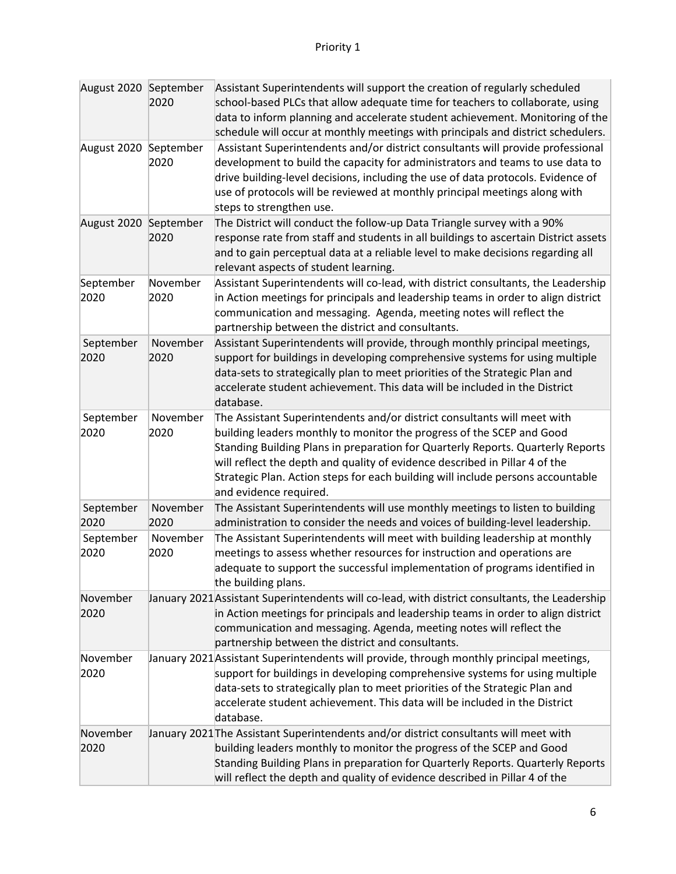| August 2020 September | 2020             | Assistant Superintendents will support the creation of regularly scheduled<br>school-based PLCs that allow adequate time for teachers to collaborate, using<br>data to inform planning and accelerate student achievement. Monitoring of the<br>schedule will occur at monthly meetings with principals and district schedulers.                                                                                                 |
|-----------------------|------------------|----------------------------------------------------------------------------------------------------------------------------------------------------------------------------------------------------------------------------------------------------------------------------------------------------------------------------------------------------------------------------------------------------------------------------------|
| August 2020 September | 2020             | Assistant Superintendents and/or district consultants will provide professional<br>development to build the capacity for administrators and teams to use data to<br>drive building-level decisions, including the use of data protocols. Evidence of<br>use of protocols will be reviewed at monthly principal meetings along with<br>steps to strengthen use.                                                                   |
| August 2020 September | 2020             | The District will conduct the follow-up Data Triangle survey with a 90%<br>response rate from staff and students in all buildings to ascertain District assets<br>and to gain perceptual data at a reliable level to make decisions regarding all<br>relevant aspects of student learning.                                                                                                                                       |
| September<br>2020     | November<br>2020 | Assistant Superintendents will co-lead, with district consultants, the Leadership<br>in Action meetings for principals and leadership teams in order to align district<br>communication and messaging. Agenda, meeting notes will reflect the<br>partnership between the district and consultants.                                                                                                                               |
| September<br>2020     | November<br>2020 | Assistant Superintendents will provide, through monthly principal meetings,<br>support for buildings in developing comprehensive systems for using multiple<br>data-sets to strategically plan to meet priorities of the Strategic Plan and<br>accelerate student achievement. This data will be included in the District<br>database.                                                                                           |
| September<br>2020     | November<br>2020 | The Assistant Superintendents and/or district consultants will meet with<br>building leaders monthly to monitor the progress of the SCEP and Good<br>Standing Building Plans in preparation for Quarterly Reports. Quarterly Reports<br>will reflect the depth and quality of evidence described in Pillar 4 of the<br>Strategic Plan. Action steps for each building will include persons accountable<br>and evidence required. |
| September<br>2020     | November<br>2020 | The Assistant Superintendents will use monthly meetings to listen to building<br>administration to consider the needs and voices of building-level leadership.                                                                                                                                                                                                                                                                   |
| September<br>2020     | November<br>2020 | The Assistant Superintendents will meet with building leadership at monthly<br>meetings to assess whether resources for instruction and operations are<br>adequate to support the successful implementation of programs identified in<br>the building plans.                                                                                                                                                                     |
| November<br>2020      |                  | January 2021 Assistant Superintendents will co-lead, with district consultants, the Leadership<br>in Action meetings for principals and leadership teams in order to align district<br>communication and messaging. Agenda, meeting notes will reflect the<br>partnership between the district and consultants.                                                                                                                  |
| November<br>2020      |                  | January 2021 Assistant Superintendents will provide, through monthly principal meetings,<br>support for buildings in developing comprehensive systems for using multiple<br>data-sets to strategically plan to meet priorities of the Strategic Plan and<br>accelerate student achievement. This data will be included in the District<br>database.                                                                              |
| November<br>2020      |                  | January 2021 The Assistant Superintendents and/or district consultants will meet with<br>building leaders monthly to monitor the progress of the SCEP and Good<br>Standing Building Plans in preparation for Quarterly Reports. Quarterly Reports<br>will reflect the depth and quality of evidence described in Pillar 4 of the                                                                                                 |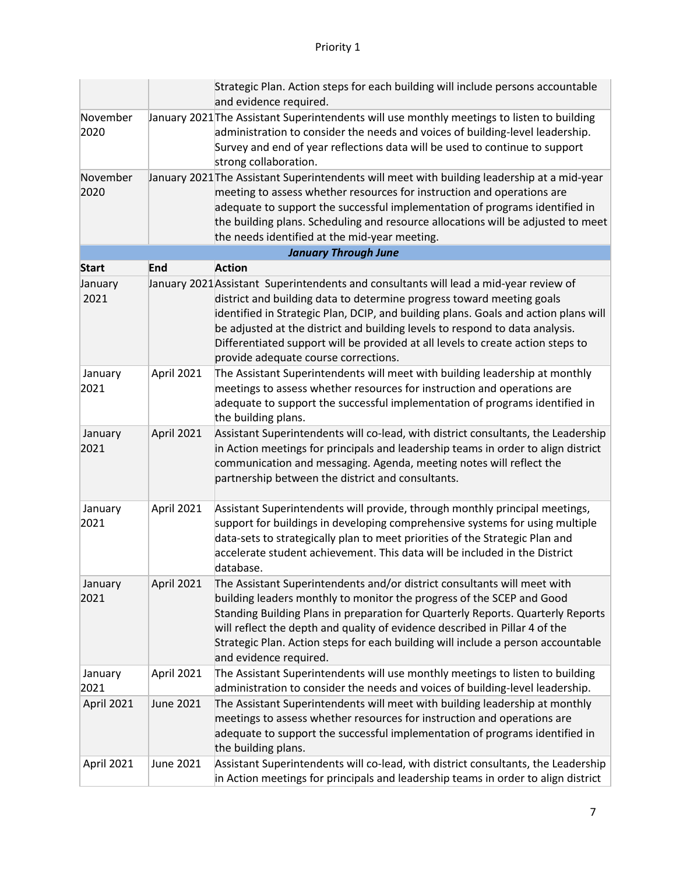|                  |                  | Strategic Plan. Action steps for each building will include persons accountable<br>and evidence required.                                                                                                                                                                                                                                                                                                                                                        |
|------------------|------------------|------------------------------------------------------------------------------------------------------------------------------------------------------------------------------------------------------------------------------------------------------------------------------------------------------------------------------------------------------------------------------------------------------------------------------------------------------------------|
| November<br>2020 |                  | January 2021 The Assistant Superintendents will use monthly meetings to listen to building<br>administration to consider the needs and voices of building-level leadership.<br>Survey and end of year reflections data will be used to continue to support<br>strong collaboration.                                                                                                                                                                              |
| November<br>2020 |                  | January 2021 The Assistant Superintendents will meet with building leadership at a mid-year<br>meeting to assess whether resources for instruction and operations are<br>adequate to support the successful implementation of programs identified in<br>the building plans. Scheduling and resource allocations will be adjusted to meet<br>the needs identified at the mid-year meeting.                                                                        |
|                  |                  | <b>January Through June</b>                                                                                                                                                                                                                                                                                                                                                                                                                                      |
| <b>Start</b>     | <b>End</b>       | <b>Action</b>                                                                                                                                                                                                                                                                                                                                                                                                                                                    |
| January<br>2021  |                  | January 2021 Assistant Superintendents and consultants will lead a mid-year review of<br>district and building data to determine progress toward meeting goals<br>identified in Strategic Plan, DCIP, and building plans. Goals and action plans will<br>be adjusted at the district and building levels to respond to data analysis.<br>Differentiated support will be provided at all levels to create action steps to<br>provide adequate course corrections. |
| January<br>2021  | April 2021       | The Assistant Superintendents will meet with building leadership at monthly<br>meetings to assess whether resources for instruction and operations are<br>adequate to support the successful implementation of programs identified in<br>the building plans.                                                                                                                                                                                                     |
| January<br>2021  | April 2021       | Assistant Superintendents will co-lead, with district consultants, the Leadership<br>in Action meetings for principals and leadership teams in order to align district<br>communication and messaging. Agenda, meeting notes will reflect the<br>partnership between the district and consultants.                                                                                                                                                               |
| January<br>2021  | April 2021       | Assistant Superintendents will provide, through monthly principal meetings,<br>support for buildings in developing comprehensive systems for using multiple<br>data-sets to strategically plan to meet priorities of the Strategic Plan and<br>accelerate student achievement. This data will be included in the District<br>database.                                                                                                                           |
| January<br>2021  | April 2021       | The Assistant Superintendents and/or district consultants will meet with<br>building leaders monthly to monitor the progress of the SCEP and Good<br>Standing Building Plans in preparation for Quarterly Reports. Quarterly Reports<br>will reflect the depth and quality of evidence described in Pillar 4 of the<br>Strategic Plan. Action steps for each building will include a person accountable<br>and evidence required.                                |
| January<br>2021  | April 2021       | The Assistant Superintendents will use monthly meetings to listen to building<br>administration to consider the needs and voices of building-level leadership.                                                                                                                                                                                                                                                                                                   |
| April 2021       | <b>June 2021</b> | The Assistant Superintendents will meet with building leadership at monthly<br>meetings to assess whether resources for instruction and operations are<br>adequate to support the successful implementation of programs identified in<br>the building plans.                                                                                                                                                                                                     |
| April 2021       | June 2021        | Assistant Superintendents will co-lead, with district consultants, the Leadership<br>in Action meetings for principals and leadership teams in order to align district                                                                                                                                                                                                                                                                                           |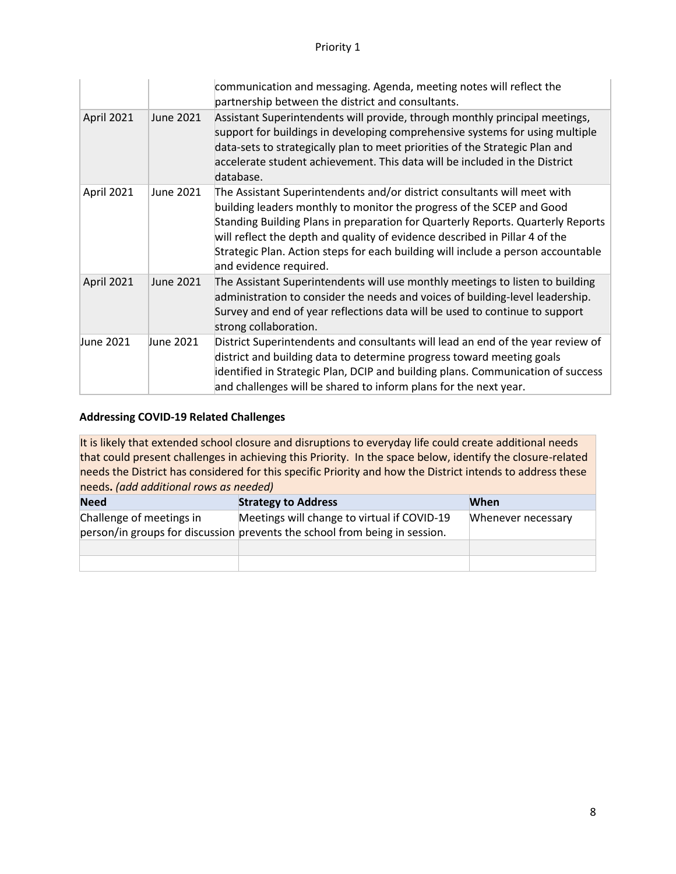|            |                  | communication and messaging. Agenda, meeting notes will reflect the<br>partnership between the district and consultants.                                                                                                                                                                                                                                                                                                          |
|------------|------------------|-----------------------------------------------------------------------------------------------------------------------------------------------------------------------------------------------------------------------------------------------------------------------------------------------------------------------------------------------------------------------------------------------------------------------------------|
| April 2021 | <b>June 2021</b> | Assistant Superintendents will provide, through monthly principal meetings,<br>support for buildings in developing comprehensive systems for using multiple<br>data-sets to strategically plan to meet priorities of the Strategic Plan and<br>accelerate student achievement. This data will be included in the District<br>database.                                                                                            |
| April 2021 | June 2021        | The Assistant Superintendents and/or district consultants will meet with<br>building leaders monthly to monitor the progress of the SCEP and Good<br>Standing Building Plans in preparation for Quarterly Reports. Quarterly Reports<br>will reflect the depth and quality of evidence described in Pillar 4 of the<br>Strategic Plan. Action steps for each building will include a person accountable<br>and evidence required. |
| April 2021 | June 2021        | The Assistant Superintendents will use monthly meetings to listen to building<br>administration to consider the needs and voices of building-level leadership.<br>Survey and end of year reflections data will be used to continue to support<br>strong collaboration.                                                                                                                                                            |
| June 2021  | June 2021        | District Superintendents and consultants will lead an end of the year review of<br>district and building data to determine progress toward meeting goals<br>identified in Strategic Plan, DCIP and building plans. Communication of success<br>and challenges will be shared to inform plans for the next year.                                                                                                                   |

| <b>Need</b>              | <b>Strategy to Address</b>                                                                                                | When               |
|--------------------------|---------------------------------------------------------------------------------------------------------------------------|--------------------|
| Challenge of meetings in | Meetings will change to virtual if COVID-19<br>person/in groups for discussion prevents the school from being in session. | Whenever necessary |
|                          |                                                                                                                           |                    |
|                          |                                                                                                                           |                    |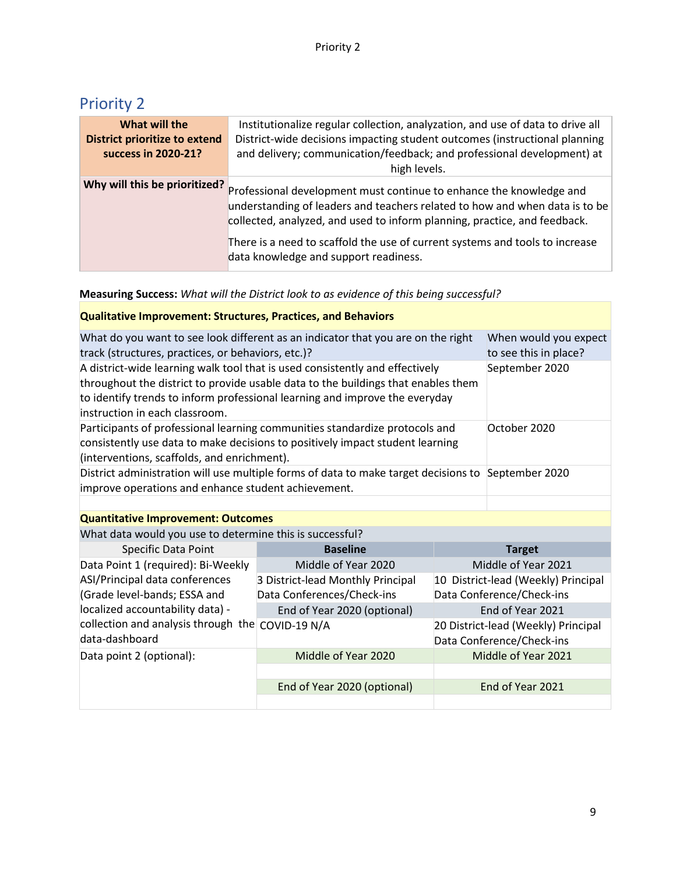| What will the<br><b>District prioritize to extend</b><br>success in 2020-21? | Institutionalize regular collection, analyzation, and use of data to drive all<br>District-wide decisions impacting student outcomes (instructional planning<br>and delivery; communication/feedback; and professional development) at<br>high levels.                                                                                                   |
|------------------------------------------------------------------------------|----------------------------------------------------------------------------------------------------------------------------------------------------------------------------------------------------------------------------------------------------------------------------------------------------------------------------------------------------------|
| Why will this be prioritized?                                                | Professional development must continue to enhance the knowledge and<br>understanding of leaders and teachers related to how and when data is to be<br>collected, analyzed, and used to inform planning, practice, and feedback.<br>There is a need to scaffold the use of current systems and tools to increase<br>data knowledge and support readiness. |

#### **Measuring Success:** *What will the District look to as evidence of this being successful?*

#### **Qualitative Improvement: Structures, Practices, and Behaviors**

| What do you want to see look different as an indicator that you are on the right<br>track (structures, practices, or behaviors, etc.)?                                                                                                                                             | When would you expect<br>to see this in place? |
|------------------------------------------------------------------------------------------------------------------------------------------------------------------------------------------------------------------------------------------------------------------------------------|------------------------------------------------|
| A district-wide learning walk tool that is used consistently and effectively<br>throughout the district to provide usable data to the buildings that enables them<br>to identify trends to inform professional learning and improve the everyday<br>instruction in each classroom. | September 2020                                 |
| Participants of professional learning communities standardize protocols and<br>consistently use data to make decisions to positively impact student learning<br>(interventions, scaffolds, and enrichment).                                                                        | October 2020                                   |
| District administration will use multiple forms of data to make target decisions to September 2020<br>improve operations and enhance student achievement.                                                                                                                          |                                                |
|                                                                                                                                                                                                                                                                                    |                                                |
| <b>Quantitative Improvement: Outcomes</b>                                                                                                                                                                                                                                          |                                                |
| What data would you use to determine this is successful?                                                                                                                                                                                                                           |                                                |

| <b>Specific Data Point</b>                                         | <b>Baseline</b>                   | <b>Target</b>                                                    |
|--------------------------------------------------------------------|-----------------------------------|------------------------------------------------------------------|
| Data Point 1 (required): Bi-Weekly                                 | Middle of Year 2020               | Middle of Year 2021                                              |
| ASI/Principal data conferences                                     | 3 District-lead Monthly Principal | 10 District-lead (Weekly) Principal                              |
| (Grade level-bands; ESSA and                                       | Data Conferences/Check-ins        | Data Conference/Check-ins                                        |
| localized accountability data) -                                   | End of Year 2020 (optional)       | End of Year 2021                                                 |
| collection and analysis through the COVID-19 N/A<br>data-dashboard |                                   | 20 District-lead (Weekly) Principal<br>Data Conference/Check-ins |
| Data point 2 (optional):                                           | Middle of Year 2020               | Middle of Year 2021                                              |
|                                                                    |                                   |                                                                  |
|                                                                    | End of Year 2020 (optional)       | End of Year 2021                                                 |
|                                                                    |                                   |                                                                  |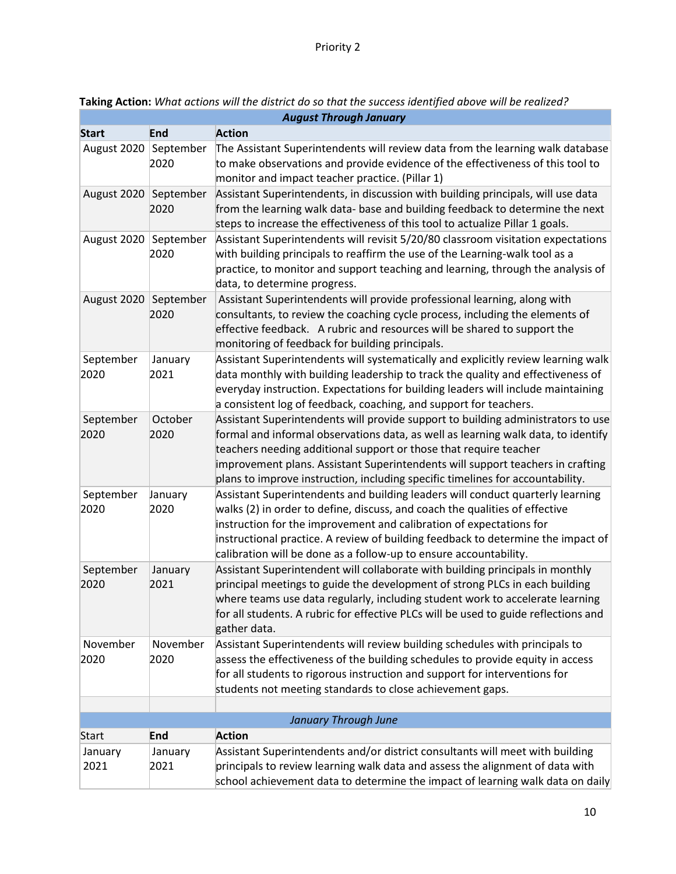| <b>August Through January</b> |                   |                                                                                                                                                                                                                                                                                                                                                                                                                |  |
|-------------------------------|-------------------|----------------------------------------------------------------------------------------------------------------------------------------------------------------------------------------------------------------------------------------------------------------------------------------------------------------------------------------------------------------------------------------------------------------|--|
| <b>Start</b>                  | <b>End</b>        | <b>Action</b>                                                                                                                                                                                                                                                                                                                                                                                                  |  |
| August 2020                   | September<br>2020 | The Assistant Superintendents will review data from the learning walk database<br>to make observations and provide evidence of the effectiveness of this tool to<br>monitor and impact teacher practice. (Pillar 1)                                                                                                                                                                                            |  |
| August 2020 September         | 2020              | Assistant Superintendents, in discussion with building principals, will use data<br>from the learning walk data- base and building feedback to determine the next<br>steps to increase the effectiveness of this tool to actualize Pillar 1 goals.                                                                                                                                                             |  |
| August 2020                   | September<br>2020 | Assistant Superintendents will revisit 5/20/80 classroom visitation expectations<br>with building principals to reaffirm the use of the Learning-walk tool as a<br>practice, to monitor and support teaching and learning, through the analysis of<br>data, to determine progress.                                                                                                                             |  |
| August 2020 September         | 2020              | Assistant Superintendents will provide professional learning, along with<br>consultants, to review the coaching cycle process, including the elements of<br>effective feedback. A rubric and resources will be shared to support the<br>monitoring of feedback for building principals.                                                                                                                        |  |
| September<br>2020             | January<br>2021   | Assistant Superintendents will systematically and explicitly review learning walk<br>data monthly with building leadership to track the quality and effectiveness of<br>everyday instruction. Expectations for building leaders will include maintaining<br>a consistent log of feedback, coaching, and support for teachers.                                                                                  |  |
| September<br>2020             | October<br>2020   | Assistant Superintendents will provide support to building administrators to use<br>formal and informal observations data, as well as learning walk data, to identify<br>teachers needing additional support or those that require teacher<br>improvement plans. Assistant Superintendents will support teachers in crafting<br>plans to improve instruction, including specific timelines for accountability. |  |
| September<br>2020             | January<br>2020   | Assistant Superintendents and building leaders will conduct quarterly learning<br>walks (2) in order to define, discuss, and coach the qualities of effective<br>instruction for the improvement and calibration of expectations for<br>instructional practice. A review of building feedback to determine the impact of<br>calibration will be done as a follow-up to ensure accountability.                  |  |
| September<br>2020             | January<br>2021   | Assistant Superintendent will collaborate with building principals in monthly<br>principal meetings to guide the development of strong PLCs in each building<br>where teams use data regularly, including student work to accelerate learning<br>for all students. A rubric for effective PLCs will be used to guide reflections and<br>gather data.                                                           |  |
| November<br>2020              | November<br>2020  | Assistant Superintendents will review building schedules with principals to<br>assess the effectiveness of the building schedules to provide equity in access<br>for all students to rigorous instruction and support for interventions for<br>students not meeting standards to close achievement gaps.                                                                                                       |  |
|                               |                   |                                                                                                                                                                                                                                                                                                                                                                                                                |  |
|                               |                   | January Through June                                                                                                                                                                                                                                                                                                                                                                                           |  |
| <b>Start</b>                  | <b>End</b>        | <b>Action</b>                                                                                                                                                                                                                                                                                                                                                                                                  |  |
| January<br>2021               | January<br>2021   | Assistant Superintendents and/or district consultants will meet with building<br>principals to review learning walk data and assess the alignment of data with<br>school achievement data to determine the impact of learning walk data on daily                                                                                                                                                               |  |

**Taking Action:** *What actions will the district do so that the success identified above will be realized?*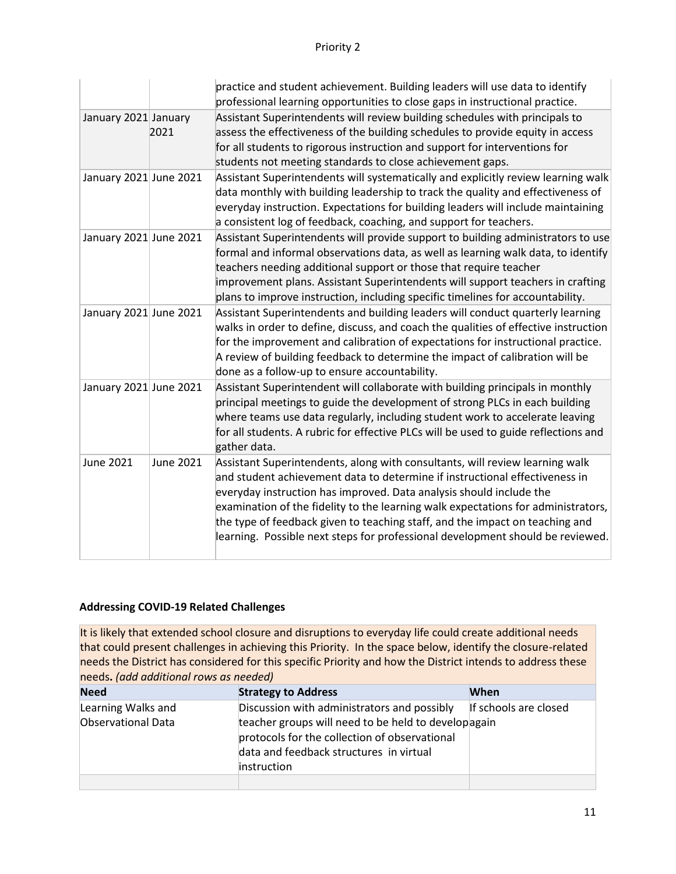|                        |                  | practice and student achievement. Building leaders will use data to identify<br>professional learning opportunities to close gaps in instructional practice.                                                                                                                                                                                                                                                                                                                              |
|------------------------|------------------|-------------------------------------------------------------------------------------------------------------------------------------------------------------------------------------------------------------------------------------------------------------------------------------------------------------------------------------------------------------------------------------------------------------------------------------------------------------------------------------------|
| January 2021 January   | 2021             | Assistant Superintendents will review building schedules with principals to<br>assess the effectiveness of the building schedules to provide equity in access<br>for all students to rigorous instruction and support for interventions for<br>students not meeting standards to close achievement gaps.                                                                                                                                                                                  |
| January 2021 June 2021 |                  | Assistant Superintendents will systematically and explicitly review learning walk<br>data monthly with building leadership to track the quality and effectiveness of<br>everyday instruction. Expectations for building leaders will include maintaining<br>a consistent log of feedback, coaching, and support for teachers.                                                                                                                                                             |
| January 2021 June 2021 |                  | Assistant Superintendents will provide support to building administrators to use<br>formal and informal observations data, as well as learning walk data, to identify<br>teachers needing additional support or those that require teacher<br>improvement plans. Assistant Superintendents will support teachers in crafting<br>plans to improve instruction, including specific timelines for accountability.                                                                            |
| January 2021 June 2021 |                  | Assistant Superintendents and building leaders will conduct quarterly learning<br>walks in order to define, discuss, and coach the qualities of effective instruction<br>for the improvement and calibration of expectations for instructional practice.<br>A review of building feedback to determine the impact of calibration will be<br>done as a follow-up to ensure accountability.                                                                                                 |
| January 2021 June 2021 |                  | Assistant Superintendent will collaborate with building principals in monthly<br>principal meetings to guide the development of strong PLCs in each building<br>where teams use data regularly, including student work to accelerate leaving<br>for all students. A rubric for effective PLCs will be used to guide reflections and<br>gather data.                                                                                                                                       |
| <b>June 2021</b>       | <b>June 2021</b> | Assistant Superintendents, along with consultants, will review learning walk<br>and student achievement data to determine if instructional effectiveness in<br>everyday instruction has improved. Data analysis should include the<br>examination of the fidelity to the learning walk expectations for administrators,<br>the type of feedback given to teaching staff, and the impact on teaching and<br>learning. Possible next steps for professional development should be reviewed. |

| <b>Need</b>        | <b>Strategy to Address</b>                                                                                                                                            | When                  |
|--------------------|-----------------------------------------------------------------------------------------------------------------------------------------------------------------------|-----------------------|
| Learning Walks and | Discussion with administrators and possibly                                                                                                                           | If schools are closed |
| Observational Data | teacher groups will need to be held to developagain<br>protocols for the collection of observational<br>data and feedback structures in virtual<br><i>instruction</i> |                       |
|                    |                                                                                                                                                                       |                       |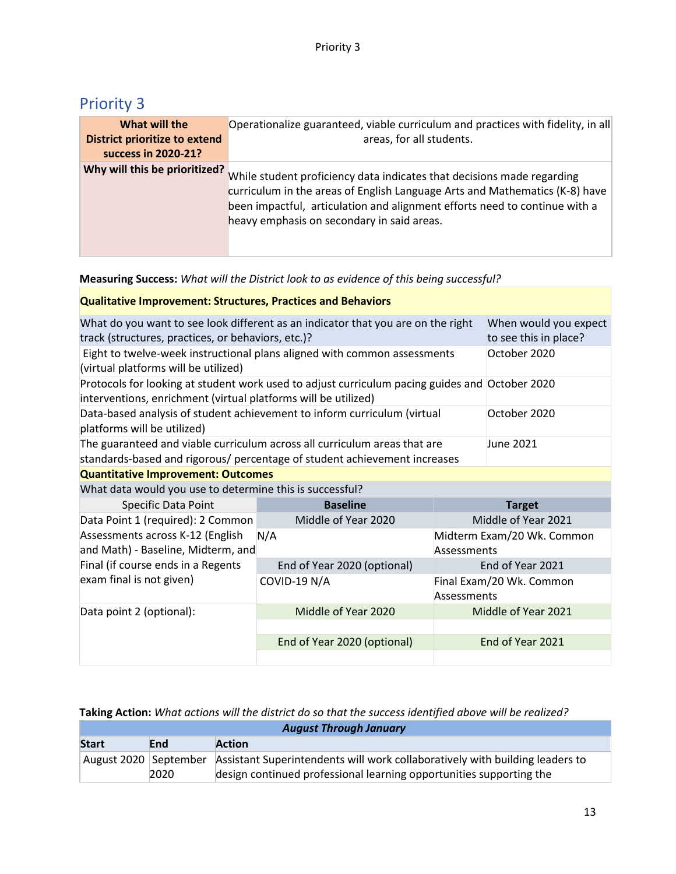| What will the<br><b>District prioritize to extend</b><br>success in 2020-21? | Operationalize guaranteed, viable curriculum and practices with fidelity, in all<br>areas, for all students.                                                                                                                                                                      |
|------------------------------------------------------------------------------|-----------------------------------------------------------------------------------------------------------------------------------------------------------------------------------------------------------------------------------------------------------------------------------|
| Why will this be prioritized?                                                | While student proficiency data indicates that decisions made regarding<br>curriculum in the areas of English Language Arts and Mathematics (K-8) have<br>been impactful, articulation and alignment efforts need to continue with a<br>heavy emphasis on secondary in said areas. |

**Measuring Success:** *What will the District look to as evidence of this being successful?*

| <b>Qualitative Improvement: Structures, Practices and Behaviors</b>                                                                                                 |                                                                                                                                                                  |                                                |                          |  |  |
|---------------------------------------------------------------------------------------------------------------------------------------------------------------------|------------------------------------------------------------------------------------------------------------------------------------------------------------------|------------------------------------------------|--------------------------|--|--|
| What do you want to see look different as an indicator that you are on the right<br>track (structures, practices, or behaviors, etc.)?                              |                                                                                                                                                                  | When would you expect<br>to see this in place? |                          |  |  |
| (virtual platforms will be utilized)                                                                                                                                | Eight to twelve-week instructional plans aligned with common assessments<br>October 2020                                                                         |                                                |                          |  |  |
|                                                                                                                                                                     | Protocols for looking at student work used to adjust curriculum pacing guides and October 2020<br>interventions, enrichment (virtual platforms will be utilized) |                                                |                          |  |  |
| Data-based analysis of student achievement to inform curriculum (virtual<br>October 2020<br>platforms will be utilized)                                             |                                                                                                                                                                  |                                                |                          |  |  |
| The guaranteed and viable curriculum across all curriculum areas that are<br>June 2021<br>standards-based and rigorous/ percentage of student achievement increases |                                                                                                                                                                  |                                                |                          |  |  |
| <b>Quantitative Improvement: Outcomes</b>                                                                                                                           |                                                                                                                                                                  |                                                |                          |  |  |
| What data would you use to determine this is successful?                                                                                                            |                                                                                                                                                                  |                                                |                          |  |  |
| Specific Data Point                                                                                                                                                 | <b>Baseline</b>                                                                                                                                                  |                                                | <b>Target</b>            |  |  |
| Data Point 1 (required): 2 Common                                                                                                                                   | Middle of Year 2020                                                                                                                                              | Middle of Year 2021                            |                          |  |  |
| Assessments across K-12 (English<br>and Math) - Baseline, Midterm, and                                                                                              | N/A                                                                                                                                                              | Midterm Exam/20 Wk. Common<br>Assessments      |                          |  |  |
| Final (if course ends in a Regents                                                                                                                                  | End of Year 2020 (optional)                                                                                                                                      |                                                | End of Year 2021         |  |  |
| exam final is not given)                                                                                                                                            | COVID-19 N/A                                                                                                                                                     | Assessments                                    | Final Exam/20 Wk. Common |  |  |
| Data point 2 (optional):                                                                                                                                            | Middle of Year 2020                                                                                                                                              |                                                | Middle of Year 2021      |  |  |
|                                                                                                                                                                     |                                                                                                                                                                  |                                                |                          |  |  |
|                                                                                                                                                                     | End of Year 2020 (optional)                                                                                                                                      | End of Year 2021                               |                          |  |  |
|                                                                                                                                                                     |                                                                                                                                                                  |                                                |                          |  |  |

| <b>August Through Sundary</b> |      |                                                                                                    |
|-------------------------------|------|----------------------------------------------------------------------------------------------------|
| <b>Start</b>                  | End  | <b>Action</b>                                                                                      |
|                               |      | August 2020 September Assistant Superintendents will work collaboratively with building leaders to |
|                               | 2020 | design continued professional learning opportunities supporting the                                |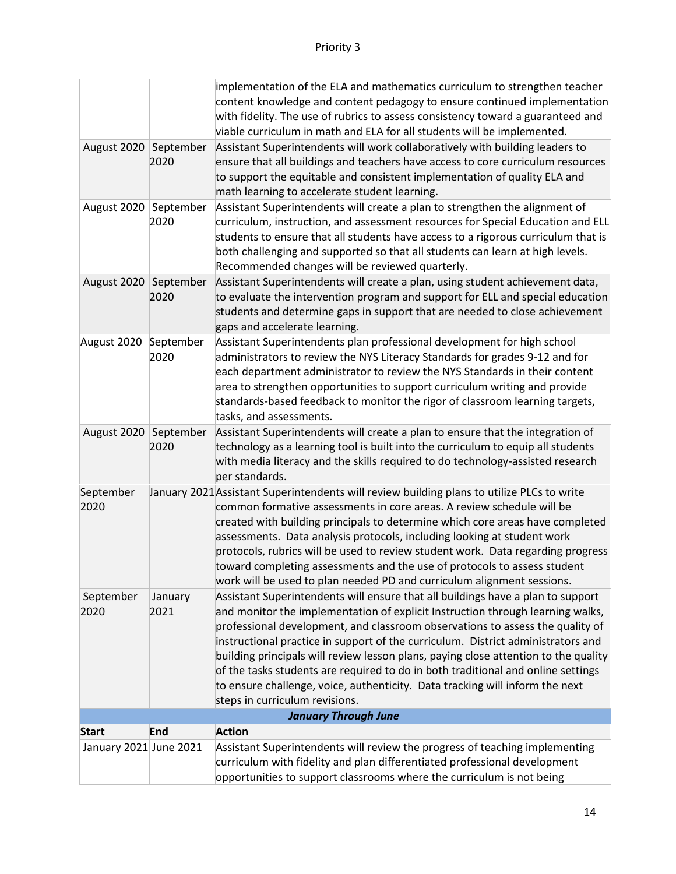|                        |         | implementation of the ELA and mathematics curriculum to strengthen teacher                                                                                              |
|------------------------|---------|-------------------------------------------------------------------------------------------------------------------------------------------------------------------------|
|                        |         | content knowledge and content pedagogy to ensure continued implementation                                                                                               |
|                        |         | with fidelity. The use of rubrics to assess consistency toward a guaranteed and                                                                                         |
|                        |         | viable curriculum in math and ELA for all students will be implemented.                                                                                                 |
| August 2020 September  |         | Assistant Superintendents will work collaboratively with building leaders to                                                                                            |
|                        | 2020    | ensure that all buildings and teachers have access to core curriculum resources                                                                                         |
|                        |         | to support the equitable and consistent implementation of quality ELA and                                                                                               |
|                        |         | math learning to accelerate student learning.                                                                                                                           |
| August 2020 September  |         | Assistant Superintendents will create a plan to strengthen the alignment of                                                                                             |
|                        | 2020    | curriculum, instruction, and assessment resources for Special Education and ELL                                                                                         |
|                        |         | students to ensure that all students have access to a rigorous curriculum that is                                                                                       |
|                        |         | both challenging and supported so that all students can learn at high levels.                                                                                           |
|                        |         | Recommended changes will be reviewed quarterly.                                                                                                                         |
| August 2020 September  |         | Assistant Superintendents will create a plan, using student achievement data,                                                                                           |
|                        | 2020    | to evaluate the intervention program and support for ELL and special education                                                                                          |
|                        |         | students and determine gaps in support that are needed to close achievement                                                                                             |
|                        |         | gaps and accelerate learning.                                                                                                                                           |
| August 2020 September  |         | Assistant Superintendents plan professional development for high school                                                                                                 |
|                        | 2020    | administrators to review the NYS Literacy Standards for grades 9-12 and for                                                                                             |
|                        |         | each department administrator to review the NYS Standards in their content                                                                                              |
|                        |         | area to strengthen opportunities to support curriculum writing and provide                                                                                              |
|                        |         | standards-based feedback to monitor the rigor of classroom learning targets,                                                                                            |
|                        |         | tasks, and assessments.                                                                                                                                                 |
| August 2020 September  |         | Assistant Superintendents will create a plan to ensure that the integration of                                                                                          |
|                        | 2020    | technology as a learning tool is built into the curriculum to equip all students                                                                                        |
|                        |         | with media literacy and the skills required to do technology-assisted research                                                                                          |
|                        |         | per standards.                                                                                                                                                          |
| September              |         | January 2021 Assistant Superintendents will review building plans to utilize PLCs to write                                                                              |
| 2020                   |         | common formative assessments in core areas. A review schedule will be                                                                                                   |
|                        |         | created with building principals to determine which core areas have completed                                                                                           |
|                        |         | assessments. Data analysis protocols, including looking at student work                                                                                                 |
|                        |         | protocols, rubrics will be used to review student work. Data regarding progress                                                                                         |
|                        |         | toward completing assessments and the use of protocols to assess student                                                                                                |
|                        |         | work will be used to plan needed PD and curriculum alignment sessions.                                                                                                  |
| September              | January | Assistant Superintendents will ensure that all buildings have a plan to support                                                                                         |
| 2020                   | 2021    | and monitor the implementation of explicit Instruction through learning walks,                                                                                          |
|                        |         | professional development, and classroom observations to assess the quality of                                                                                           |
|                        |         | instructional practice in support of the curriculum. District administrators and                                                                                        |
|                        |         | building principals will review lesson plans, paying close attention to the quality<br>of the tasks students are required to do in both traditional and online settings |
|                        |         | to ensure challenge, voice, authenticity. Data tracking will inform the next                                                                                            |
|                        |         | steps in curriculum revisions.                                                                                                                                          |
|                        |         | <b>January Through June</b>                                                                                                                                             |
| <b>Start</b>           | End     | <b>Action</b>                                                                                                                                                           |
| January 2021 June 2021 |         | Assistant Superintendents will review the progress of teaching implementing                                                                                             |
|                        |         | curriculum with fidelity and plan differentiated professional development                                                                                               |
|                        |         | opportunities to support classrooms where the curriculum is not being                                                                                                   |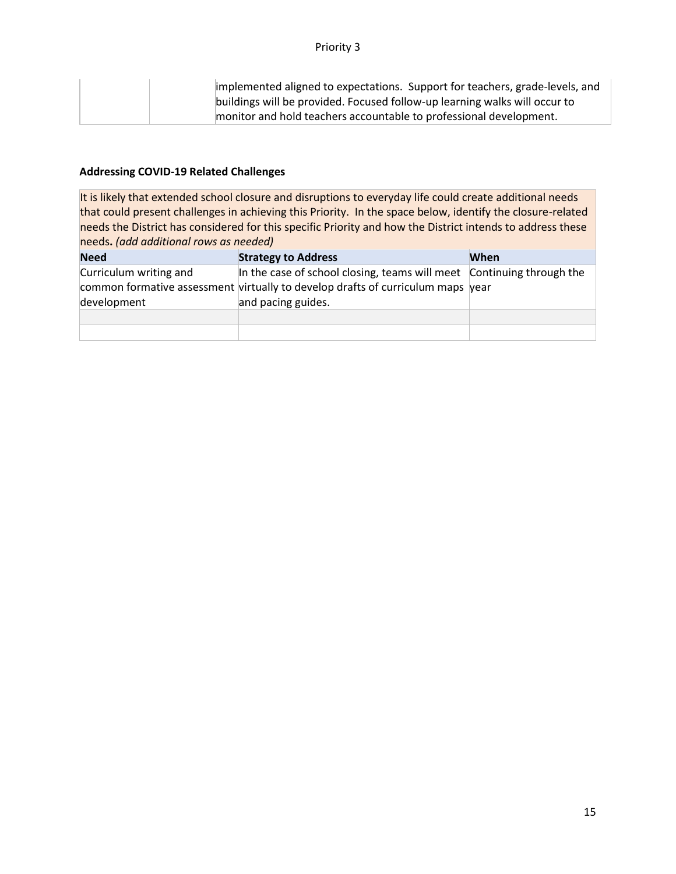| implemented aligned to expectations. Support for teachers, grade-levels, and |
|------------------------------------------------------------------------------|
| buildings will be provided. Focused follow-up learning walks will occur to   |
| monitor and hold teachers accountable to professional development.           |

| <b>Need</b>                           | <b>Strategy to Address</b>                                                                                                                                                     | When |
|---------------------------------------|--------------------------------------------------------------------------------------------------------------------------------------------------------------------------------|------|
| Curriculum writing and<br>development | In the case of school closing, teams will meet Continuing through the<br>common formative assessment virtually to develop drafts of curriculum maps year<br>and pacing guides. |      |
|                                       |                                                                                                                                                                                |      |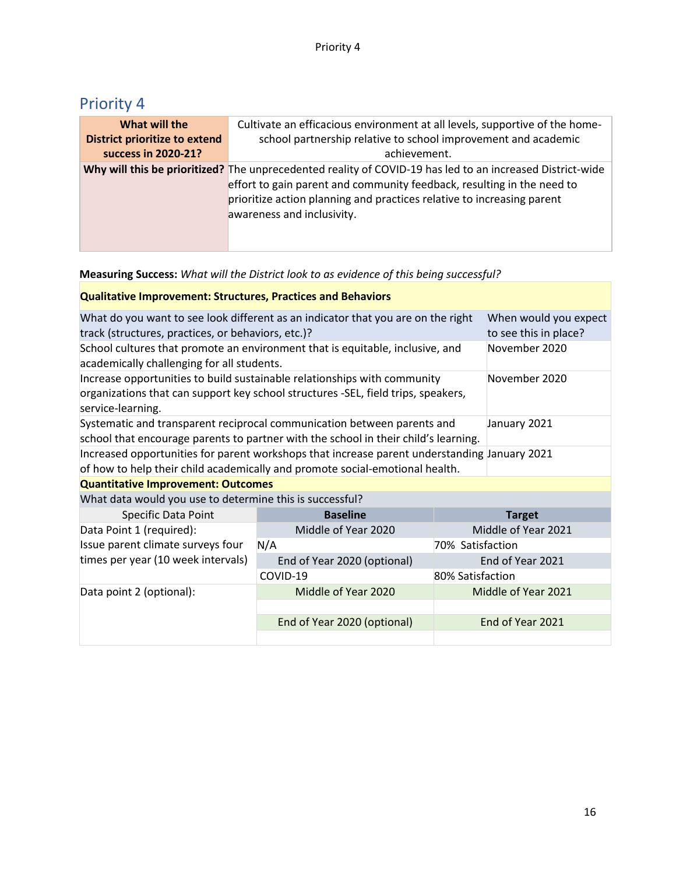#### **Measuring Success:** *What will the District look to as evidence of this being successful?*

#### **Qualitative Improvement: Structures, Practices and Behaviors**

| What do you want to see look different as an indicator that you are on the right<br>When would you expect<br>track (structures, practices, or behaviors, etc.)?<br>to see this in place?            |                              |                  |                     |  |
|-----------------------------------------------------------------------------------------------------------------------------------------------------------------------------------------------------|------------------------------|------------------|---------------------|--|
| November 2020<br>School cultures that promote an environment that is equitable, inclusive, and<br>academically challenging for all students.                                                        |                              |                  |                     |  |
| Increase opportunities to build sustainable relationships with community<br>November 2020<br>organizations that can support key school structures -SEL, field trips, speakers,<br>service-learning. |                              |                  |                     |  |
| Systematic and transparent reciprocal communication between parents and<br>January 2021<br>school that encourage parents to partner with the school in their child's learning.                      |                              |                  |                     |  |
| Increased opportunities for parent workshops that increase parent understanding January 2021<br>of how to help their child academically and promote social-emotional health.                        |                              |                  |                     |  |
| <b>Quantitative Improvement: Outcomes</b>                                                                                                                                                           |                              |                  |                     |  |
| What data would you use to determine this is successful?                                                                                                                                            |                              |                  |                     |  |
| Specific Data Point                                                                                                                                                                                 | <b>Baseline</b>              |                  | <b>Target</b>       |  |
| Data Point 1 (required):                                                                                                                                                                            | Middle of Year 2020          |                  | Middle of Year 2021 |  |
| Issue parent climate surveys four                                                                                                                                                                   | N/A                          | 70% Satisfaction |                     |  |
| times per year (10 week intervals)                                                                                                                                                                  | End of Year 2020 (optional)  |                  | End of Year 2021    |  |
|                                                                                                                                                                                                     | COVID-19<br>80% Satisfaction |                  |                     |  |
| Data point 2 (optional):                                                                                                                                                                            | Middle of Year 2020          |                  | Middle of Year 2021 |  |
|                                                                                                                                                                                                     |                              |                  |                     |  |
|                                                                                                                                                                                                     | End of Year 2020 (optional)  |                  | End of Year 2021    |  |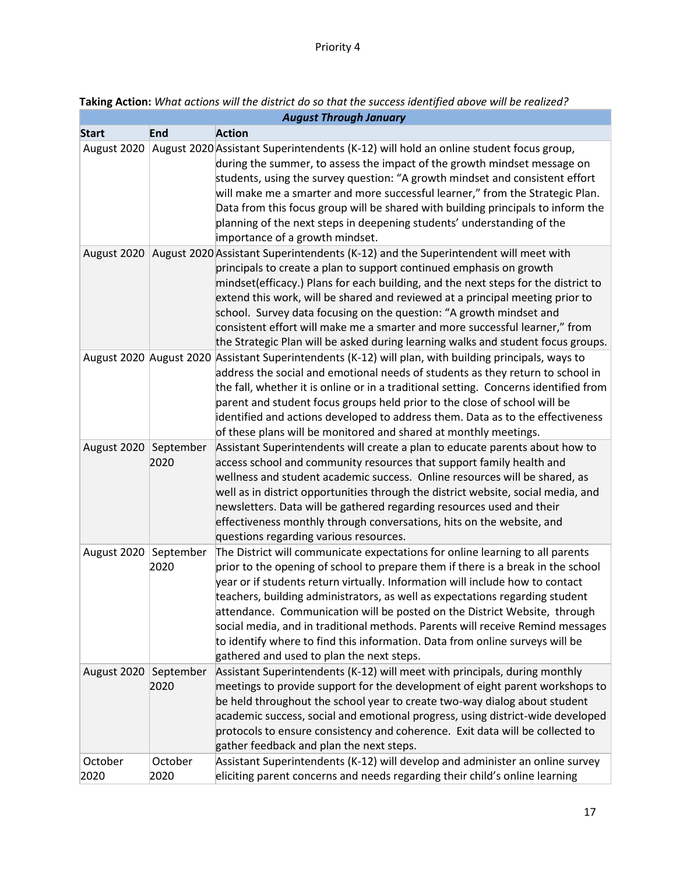|                 |                   | <b>August Through January</b>                                                                                                                                                                                                                                                                                                                                                                                                                                                                                                                                                                                                  |
|-----------------|-------------------|--------------------------------------------------------------------------------------------------------------------------------------------------------------------------------------------------------------------------------------------------------------------------------------------------------------------------------------------------------------------------------------------------------------------------------------------------------------------------------------------------------------------------------------------------------------------------------------------------------------------------------|
| <b>Start</b>    | <b>End</b>        | <b>Action</b>                                                                                                                                                                                                                                                                                                                                                                                                                                                                                                                                                                                                                  |
| August 2020     |                   | August 2020 Assistant Superintendents (K-12) will hold an online student focus group,<br>during the summer, to assess the impact of the growth mindset message on<br>students, using the survey question: "A growth mindset and consistent effort<br>will make me a smarter and more successful learner," from the Strategic Plan.<br>Data from this focus group will be shared with building principals to inform the<br>planning of the next steps in deepening students' understanding of the<br>importance of a growth mindset.                                                                                            |
|                 |                   | August 2020 August 2020 Assistant Superintendents (K-12) and the Superintendent will meet with<br>principals to create a plan to support continued emphasis on growth<br>mindset(efficacy.) Plans for each building, and the next steps for the district to<br>extend this work, will be shared and reviewed at a principal meeting prior to<br>school. Survey data focusing on the question: "A growth mindset and<br>consistent effort will make me a smarter and more successful learner," from<br>the Strategic Plan will be asked during learning walks and student focus groups.                                         |
|                 |                   | August 2020 August 2020 Assistant Superintendents (K-12) will plan, with building principals, ways to<br>address the social and emotional needs of students as they return to school in<br>the fall, whether it is online or in a traditional setting. Concerns identified from<br>parent and student focus groups held prior to the close of school will be<br>identified and actions developed to address them. Data as to the effectiveness<br>of these plans will be monitored and shared at monthly meetings.                                                                                                             |
| August 2020     | September<br>2020 | Assistant Superintendents will create a plan to educate parents about how to<br>access school and community resources that support family health and<br>wellness and student academic success. Online resources will be shared, as<br>well as in district opportunities through the district website, social media, and<br>newsletters. Data will be gathered regarding resources used and their<br>effectiveness monthly through conversations, hits on the website, and<br>questions regarding various resources.                                                                                                            |
| August 2020     | September<br>2020 | The District will communicate expectations for online learning to all parents<br>prior to the opening of school to prepare them if there is a break in the school<br>year or if students return virtually. Information will include how to contact<br>teachers, building administrators, as well as expectations regarding student<br>attendance. Communication will be posted on the District Website, through<br>social media, and in traditional methods. Parents will receive Remind messages<br>to identify where to find this information. Data from online surveys will be<br>gathered and used to plan the next steps. |
| August 2020     | September<br>2020 | Assistant Superintendents (K-12) will meet with principals, during monthly<br>meetings to provide support for the development of eight parent workshops to<br>be held throughout the school year to create two-way dialog about student<br>academic success, social and emotional progress, using district-wide developed<br>protocols to ensure consistency and coherence. Exit data will be collected to<br>gather feedback and plan the next steps.                                                                                                                                                                         |
| October<br>2020 | October<br>2020   | Assistant Superintendents (K-12) will develop and administer an online survey<br>eliciting parent concerns and needs regarding their child's online learning                                                                                                                                                                                                                                                                                                                                                                                                                                                                   |

| Taking Action: What actions will the district do so that the success identified above will be realized? |
|---------------------------------------------------------------------------------------------------------|
|---------------------------------------------------------------------------------------------------------|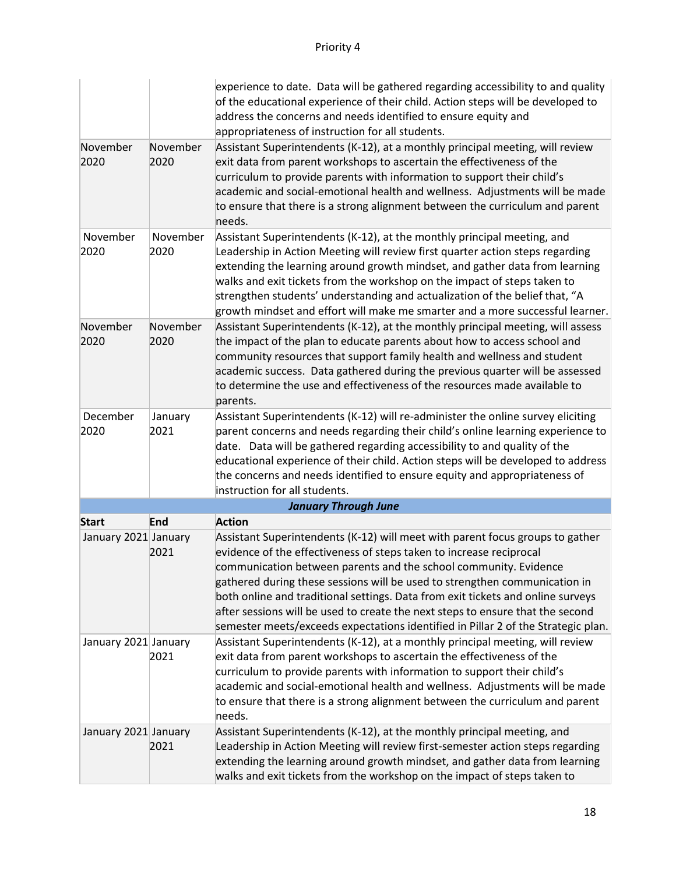|                      |                  | experience to date. Data will be gathered regarding accessibility to and quality<br>of the educational experience of their child. Action steps will be developed to<br>address the concerns and needs identified to ensure equity and<br>appropriateness of instruction for all students.                                                                                                                                                                                                                                                                        |
|----------------------|------------------|------------------------------------------------------------------------------------------------------------------------------------------------------------------------------------------------------------------------------------------------------------------------------------------------------------------------------------------------------------------------------------------------------------------------------------------------------------------------------------------------------------------------------------------------------------------|
| November<br>2020     | November<br>2020 | Assistant Superintendents (K-12), at a monthly principal meeting, will review<br>exit data from parent workshops to ascertain the effectiveness of the<br>curriculum to provide parents with information to support their child's<br>academic and social-emotional health and wellness. Adjustments will be made<br>to ensure that there is a strong alignment between the curriculum and parent<br>needs.                                                                                                                                                       |
| November<br>2020     | November<br>2020 | Assistant Superintendents (K-12), at the monthly principal meeting, and<br>Leadership in Action Meeting will review first quarter action steps regarding<br>extending the learning around growth mindset, and gather data from learning<br>walks and exit tickets from the workshop on the impact of steps taken to<br>strengthen students' understanding and actualization of the belief that, "A<br>growth mindset and effort will make me smarter and a more successful learner.                                                                              |
| November<br>2020     | November<br>2020 | Assistant Superintendents (K-12), at the monthly principal meeting, will assess<br>the impact of the plan to educate parents about how to access school and<br>community resources that support family health and wellness and student<br>academic success. Data gathered during the previous quarter will be assessed<br>to determine the use and effectiveness of the resources made available to<br>parents.                                                                                                                                                  |
| December<br>2020     | January<br>2021  | Assistant Superintendents (K-12) will re-administer the online survey eliciting<br>parent concerns and needs regarding their child's online learning experience to<br>date. Data will be gathered regarding accessibility to and quality of the<br>educational experience of their child. Action steps will be developed to address<br>the concerns and needs identified to ensure equity and appropriateness of<br>instruction for all students.                                                                                                                |
|                      |                  | <b>January Through June</b>                                                                                                                                                                                                                                                                                                                                                                                                                                                                                                                                      |
| <b>Start</b>         | End              | <b>Action</b>                                                                                                                                                                                                                                                                                                                                                                                                                                                                                                                                                    |
| January 2021 January | 2021             | Assistant Superintendents (K-12) will meet with parent focus groups to gather<br>evidence of the effectiveness of steps taken to increase reciprocal<br>communication between parents and the school community. Evidence<br>gathered during these sessions will be used to strengthen communication in<br>both online and traditional settings. Data from exit tickets and online surveys<br>after sessions will be used to create the next steps to ensure that the second<br>semester meets/exceeds expectations identified in Pillar 2 of the Strategic plan. |
| January 2021 January | 2021             | Assistant Superintendents (K-12), at a monthly principal meeting, will review<br>exit data from parent workshops to ascertain the effectiveness of the<br>curriculum to provide parents with information to support their child's<br>academic and social-emotional health and wellness. Adjustments will be made<br>to ensure that there is a strong alignment between the curriculum and parent<br>needs.                                                                                                                                                       |
| January 2021 January | 2021             | Assistant Superintendents (K-12), at the monthly principal meeting, and<br>Leadership in Action Meeting will review first-semester action steps regarding<br>extending the learning around growth mindset, and gather data from learning<br>walks and exit tickets from the workshop on the impact of steps taken to                                                                                                                                                                                                                                             |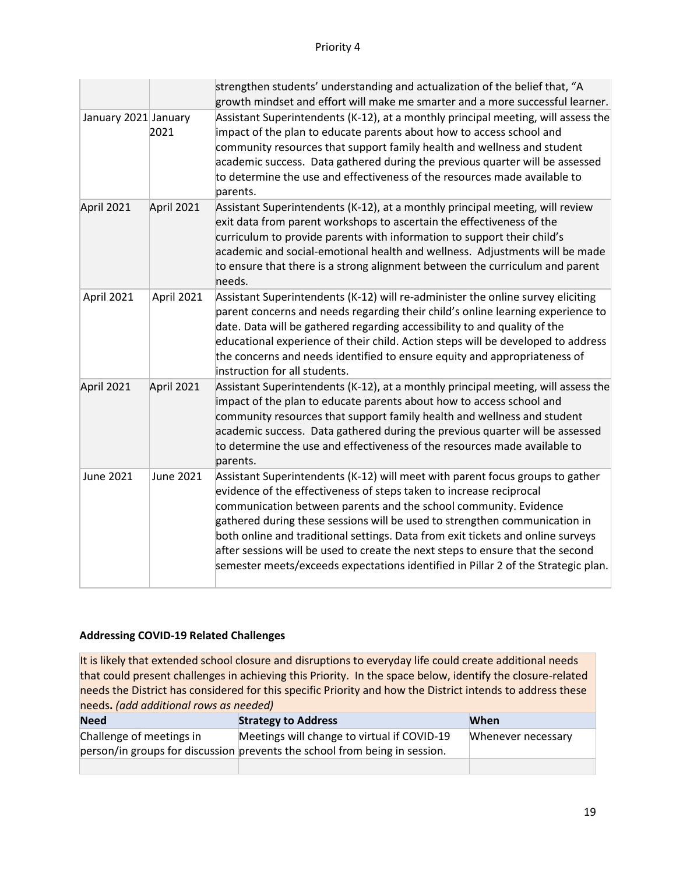|                      |                  | strengthen students' understanding and actualization of the belief that, "A<br>growth mindset and effort will make me smarter and a more successful learner.                                                                                                                                                                                                                                                                                                                                                                                                     |
|----------------------|------------------|------------------------------------------------------------------------------------------------------------------------------------------------------------------------------------------------------------------------------------------------------------------------------------------------------------------------------------------------------------------------------------------------------------------------------------------------------------------------------------------------------------------------------------------------------------------|
| January 2021 January | 2021             | Assistant Superintendents (K-12), at a monthly principal meeting, will assess the<br>impact of the plan to educate parents about how to access school and<br>community resources that support family health and wellness and student<br>academic success. Data gathered during the previous quarter will be assessed<br>to determine the use and effectiveness of the resources made available to<br>parents.                                                                                                                                                    |
| April 2021           | April 2021       | Assistant Superintendents (K-12), at a monthly principal meeting, will review<br>exit data from parent workshops to ascertain the effectiveness of the<br>curriculum to provide parents with information to support their child's<br>academic and social-emotional health and wellness. Adjustments will be made<br>to ensure that there is a strong alignment between the curriculum and parent<br>needs.                                                                                                                                                       |
| April 2021           | April 2021       | Assistant Superintendents (K-12) will re-administer the online survey eliciting<br>parent concerns and needs regarding their child's online learning experience to<br>date. Data will be gathered regarding accessibility to and quality of the<br>educational experience of their child. Action steps will be developed to address<br>the concerns and needs identified to ensure equity and appropriateness of<br>instruction for all students.                                                                                                                |
| April 2021           | April 2021       | Assistant Superintendents (K-12), at a monthly principal meeting, will assess the<br>impact of the plan to educate parents about how to access school and<br>community resources that support family health and wellness and student<br>academic success. Data gathered during the previous quarter will be assessed<br>to determine the use and effectiveness of the resources made available to<br>parents.                                                                                                                                                    |
| June 2021            | <b>June 2021</b> | Assistant Superintendents (K-12) will meet with parent focus groups to gather<br>evidence of the effectiveness of steps taken to increase reciprocal<br>communication between parents and the school community. Evidence<br>gathered during these sessions will be used to strengthen communication in<br>both online and traditional settings. Data from exit tickets and online surveys<br>after sessions will be used to create the next steps to ensure that the second<br>semester meets/exceeds expectations identified in Pillar 2 of the Strategic plan. |

| <b>Need</b>              | <b>Strategy to Address</b>                                                 | When               |
|--------------------------|----------------------------------------------------------------------------|--------------------|
| Challenge of meetings in | Meetings will change to virtual if COVID-19                                | Whenever necessary |
|                          | person/in groups for discussion prevents the school from being in session. |                    |
|                          |                                                                            |                    |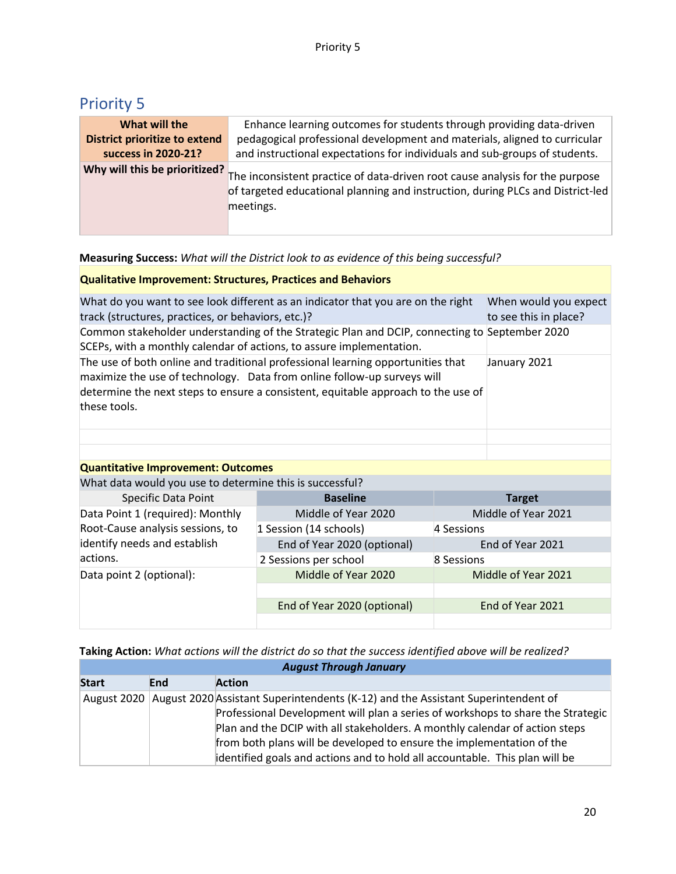| What will the                        | Enhance learning outcomes for students through providing data-driven                                                                                                                                      |
|--------------------------------------|-----------------------------------------------------------------------------------------------------------------------------------------------------------------------------------------------------------|
| <b>District prioritize to extend</b> | pedagogical professional development and materials, aligned to curricular                                                                                                                                 |
| success in 2020-21?                  | and instructional expectations for individuals and sub-groups of students.                                                                                                                                |
|                                      | Why will this be prioritized? The inconsistent practice of data-driven root cause analysis for the purpose<br>of targeted educational planning and instruction, during PLCs and District-led<br>meetings. |

#### **Measuring Success:** *What will the District look to as evidence of this being successful?*

#### **Qualitative Improvement: Structures, Practices and Behaviors**

| What do you want to see look different as an indicator that you are on the right                                                                                                                                                                                | When would you expect |
|-----------------------------------------------------------------------------------------------------------------------------------------------------------------------------------------------------------------------------------------------------------------|-----------------------|
| track (structures, practices, or behaviors, etc.)?                                                                                                                                                                                                              | to see this in place? |
| Common stakeholder understanding of the Strategic Plan and DCIP, connecting to September 2020<br>SCEPs, with a monthly calendar of actions, to assure implementation.                                                                                           |                       |
| The use of both online and traditional professional learning opportunities that<br>maximize the use of technology. Data from online follow-up surveys will<br>determine the next steps to ensure a consistent, equitable approach to the use of<br>these tools. | January 2021          |
|                                                                                                                                                                                                                                                                 |                       |

#### **Quantitative Improvement: Outcomes**

What data would you use to determine this is successful?

| <b>Specific Data Point</b>       | <b>Baseline</b>             | <b>Target</b>       |
|----------------------------------|-----------------------------|---------------------|
| Data Point 1 (required): Monthly | Middle of Year 2020         | Middle of Year 2021 |
| Root-Cause analysis sessions, to | 1 Session (14 schools)      | 4 Sessions          |
| identify needs and establish     | End of Year 2020 (optional) | End of Year 2021    |
| actions.                         | 2 Sessions per school       | 8 Sessions          |
| Data point 2 (optional):         | Middle of Year 2020         | Middle of Year 2021 |
|                                  |                             |                     |
|                                  | End of Year 2020 (optional) | End of Year 2021    |
|                                  |                             |                     |

**Taking Action:** *What actions will the district do so that the success identified above will be realized? August Through January*

| $1.00$ g we can construct the construction of $\sim$ |     |                                                                                              |  |
|------------------------------------------------------|-----|----------------------------------------------------------------------------------------------|--|
| <b>Start</b>                                         | End | <b>Action</b>                                                                                |  |
|                                                      |     | August 2020 August 2020 Assistant Superintendents (K-12) and the Assistant Superintendent of |  |
|                                                      |     | Professional Development will plan a series of workshops to share the Strategic              |  |
|                                                      |     | Plan and the DCIP with all stakeholders. A monthly calendar of action steps                  |  |
|                                                      |     | from both plans will be developed to ensure the implementation of the                        |  |
|                                                      |     | identified goals and actions and to hold all accountable. This plan will be                  |  |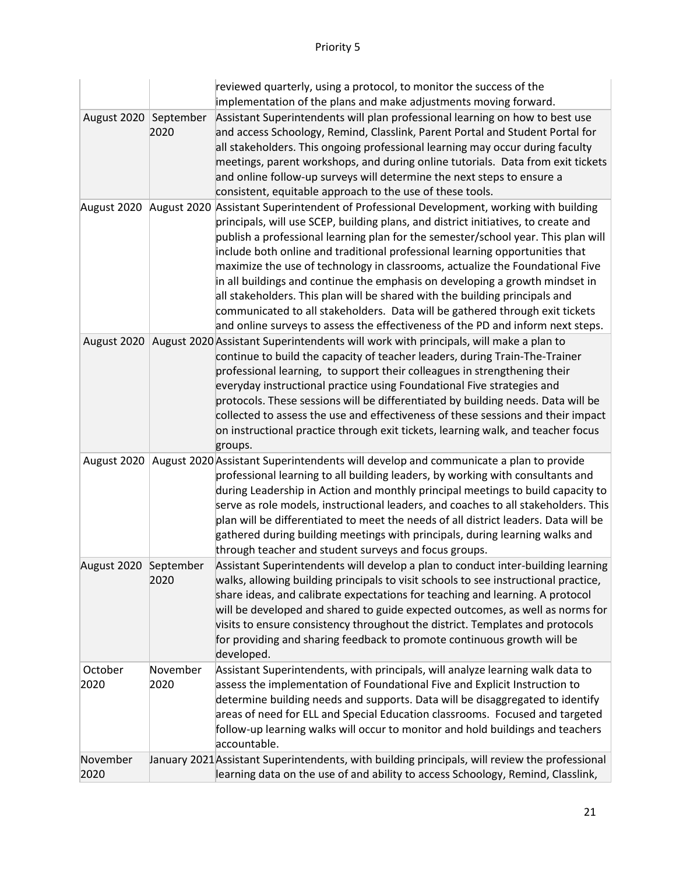|                       |                  | reviewed quarterly, using a protocol, to monitor the success of the<br>implementation of the plans and make adjustments moving forward.                                                                                                                                                                                                                                                                                                                                                                                                                                                                                                                                                                                                                                           |
|-----------------------|------------------|-----------------------------------------------------------------------------------------------------------------------------------------------------------------------------------------------------------------------------------------------------------------------------------------------------------------------------------------------------------------------------------------------------------------------------------------------------------------------------------------------------------------------------------------------------------------------------------------------------------------------------------------------------------------------------------------------------------------------------------------------------------------------------------|
| August 2020 September | 2020             | Assistant Superintendents will plan professional learning on how to best use<br>and access Schoology, Remind, Classlink, Parent Portal and Student Portal for<br>all stakeholders. This ongoing professional learning may occur during faculty<br>meetings, parent workshops, and during online tutorials. Data from exit tickets<br>and online follow-up surveys will determine the next steps to ensure a<br>consistent, equitable approach to the use of these tools.                                                                                                                                                                                                                                                                                                          |
|                       |                  | August 2020 August 2020 Assistant Superintendent of Professional Development, working with building<br>principals, will use SCEP, building plans, and district initiatives, to create and<br>publish a professional learning plan for the semester/school year. This plan will<br>include both online and traditional professional learning opportunities that<br>maximize the use of technology in classrooms, actualize the Foundational Five<br>in all buildings and continue the emphasis on developing a growth mindset in<br>all stakeholders. This plan will be shared with the building principals and<br>communicated to all stakeholders. Data will be gathered through exit tickets<br>and online surveys to assess the effectiveness of the PD and inform next steps. |
|                       |                  | August 2020   August 2020 Assistant Superintendents will work with principals, will make a plan to<br>continue to build the capacity of teacher leaders, during Train-The-Trainer<br>professional learning, to support their colleagues in strengthening their<br>everyday instructional practice using Foundational Five strategies and<br>protocols. These sessions will be differentiated by building needs. Data will be<br>collected to assess the use and effectiveness of these sessions and their impact<br>on instructional practice through exit tickets, learning walk, and teacher focus<br>groups.                                                                                                                                                                   |
|                       |                  | August 2020   August 2020 Assistant Superintendents will develop and communicate a plan to provide<br>professional learning to all building leaders, by working with consultants and<br>during Leadership in Action and monthly principal meetings to build capacity to<br>serve as role models, instructional leaders, and coaches to all stakeholders. This<br>plan will be differentiated to meet the needs of all district leaders. Data will be<br>gathered during building meetings with principals, during learning walks and<br>through teacher and student surveys and focus groups.                                                                                                                                                                                     |
| August 2020 September | 2020             | Assistant Superintendents will develop a plan to conduct inter-building learning<br>walks, allowing building principals to visit schools to see instructional practice,<br>share ideas, and calibrate expectations for teaching and learning. A protocol<br>will be developed and shared to guide expected outcomes, as well as norms for<br>visits to ensure consistency throughout the district. Templates and protocols<br>for providing and sharing feedback to promote continuous growth will be<br>developed.                                                                                                                                                                                                                                                               |
| October<br>2020       | November<br>2020 | Assistant Superintendents, with principals, will analyze learning walk data to<br>assess the implementation of Foundational Five and Explicit Instruction to<br>determine building needs and supports. Data will be disaggregated to identify<br>areas of need for ELL and Special Education classrooms. Focused and targeted<br>follow-up learning walks will occur to monitor and hold buildings and teachers<br>accountable.                                                                                                                                                                                                                                                                                                                                                   |
| November<br>2020      |                  | January 2021 Assistant Superintendents, with building principals, will review the professional<br>learning data on the use of and ability to access Schoology, Remind, Classlink,                                                                                                                                                                                                                                                                                                                                                                                                                                                                                                                                                                                                 |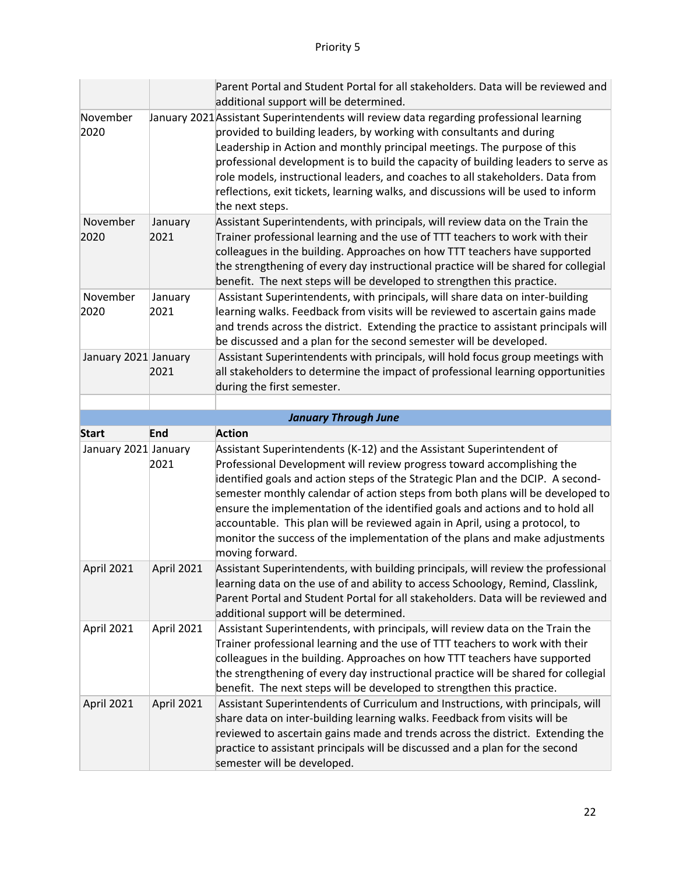|                      |                 | Parent Portal and Student Portal for all stakeholders. Data will be reviewed and<br>additional support will be determined.                                                                                                                                                                                                                                                                                                                                                                                                                                                             |
|----------------------|-----------------|----------------------------------------------------------------------------------------------------------------------------------------------------------------------------------------------------------------------------------------------------------------------------------------------------------------------------------------------------------------------------------------------------------------------------------------------------------------------------------------------------------------------------------------------------------------------------------------|
| November<br>2020     |                 | January 2021 Assistant Superintendents will review data regarding professional learning<br>provided to building leaders, by working with consultants and during<br>Leadership in Action and monthly principal meetings. The purpose of this<br>professional development is to build the capacity of building leaders to serve as<br>role models, instructional leaders, and coaches to all stakeholders. Data from<br>reflections, exit tickets, learning walks, and discussions will be used to inform<br>the next steps.                                                             |
| November<br>2020     | January<br>2021 | Assistant Superintendents, with principals, will review data on the Train the<br>Trainer professional learning and the use of TTT teachers to work with their<br>colleagues in the building. Approaches on how TTT teachers have supported<br>the strengthening of every day instructional practice will be shared for collegial<br>benefit. The next steps will be developed to strengthen this practice.                                                                                                                                                                             |
| November<br>2020     | January<br>2021 | Assistant Superintendents, with principals, will share data on inter-building<br>learning walks. Feedback from visits will be reviewed to ascertain gains made<br>and trends across the district. Extending the practice to assistant principals will<br>be discussed and a plan for the second semester will be developed.                                                                                                                                                                                                                                                            |
| January 2021 January | 2021            | Assistant Superintendents with principals, will hold focus group meetings with<br>all stakeholders to determine the impact of professional learning opportunities<br>during the first semester.                                                                                                                                                                                                                                                                                                                                                                                        |
|                      |                 | <b>January Through June</b>                                                                                                                                                                                                                                                                                                                                                                                                                                                                                                                                                            |
|                      |                 |                                                                                                                                                                                                                                                                                                                                                                                                                                                                                                                                                                                        |
| <b>Start</b>         | End             | <b>Action</b>                                                                                                                                                                                                                                                                                                                                                                                                                                                                                                                                                                          |
| January 2021 January | 2021            | Assistant Superintendents (K-12) and the Assistant Superintendent of<br>Professional Development will review progress toward accomplishing the<br>identified goals and action steps of the Strategic Plan and the DCIP. A second-<br>semester monthly calendar of action steps from both plans will be developed to<br>ensure the implementation of the identified goals and actions and to hold all<br>accountable. This plan will be reviewed again in April, using a protocol, to<br>monitor the success of the implementation of the plans and make adjustments<br>moving forward. |
| April 2021           | April 2021      | Assistant Superintendents, with building principals, will review the professional<br>learning data on the use of and ability to access Schoology, Remind, Classlink,<br>Parent Portal and Student Portal for all stakeholders. Data will be reviewed and<br>additional support will be determined.                                                                                                                                                                                                                                                                                     |
| April 2021           | April 2021      | Assistant Superintendents, with principals, will review data on the Train the<br>Trainer professional learning and the use of TTT teachers to work with their<br>colleagues in the building. Approaches on how TTT teachers have supported<br>the strengthening of every day instructional practice will be shared for collegial<br>benefit. The next steps will be developed to strengthen this practice.                                                                                                                                                                             |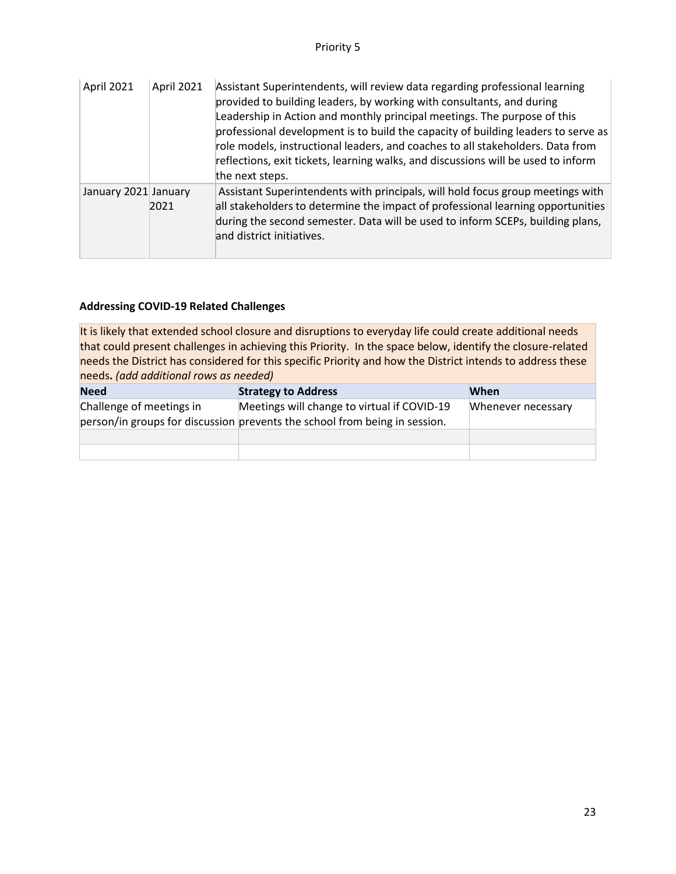| April 2021           | April 2021 | Assistant Superintendents, will review data regarding professional learning<br>provided to building leaders, by working with consultants, and during<br>Leadership in Action and monthly principal meetings. The purpose of this<br>professional development is to build the capacity of building leaders to serve as<br>role models, instructional leaders, and coaches to all stakeholders. Data from<br>reflections, exit tickets, learning walks, and discussions will be used to inform<br>the next steps. |
|----------------------|------------|-----------------------------------------------------------------------------------------------------------------------------------------------------------------------------------------------------------------------------------------------------------------------------------------------------------------------------------------------------------------------------------------------------------------------------------------------------------------------------------------------------------------|
| January 2021 January | 2021       | Assistant Superintendents with principals, will hold focus group meetings with<br>all stakeholders to determine the impact of professional learning opportunities<br>during the second semester. Data will be used to inform SCEPs, building plans,<br>and district initiatives.                                                                                                                                                                                                                                |

| <b>Need</b>              | <b>Strategy to Address</b>                                                                                                | When               |
|--------------------------|---------------------------------------------------------------------------------------------------------------------------|--------------------|
| Challenge of meetings in | Meetings will change to virtual if COVID-19<br>person/in groups for discussion prevents the school from being in session. | Whenever necessary |
|                          |                                                                                                                           |                    |
|                          |                                                                                                                           |                    |